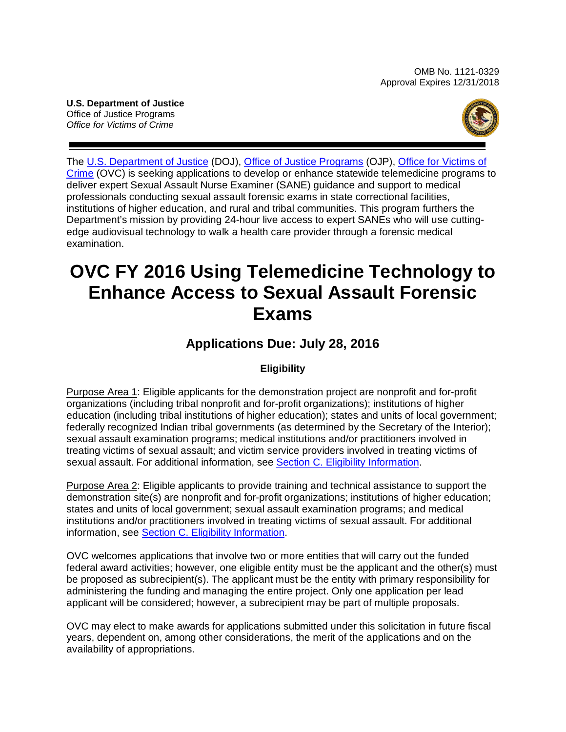OMB No. 1121-0329 Approval Expires 12/31/2018

**U.S. Department of Justice** Office of Justice Programs *Office for Victims of Crime*



The [U.S. Department of Justice](http://www.usdoj.gov/) (DOJ), [Office of Justice Programs](http://www.ojp.usdoj.gov/) (OJP), [Office for Victims of](http://www.ovc.gov/)  [Crime](http://www.ovc.gov/) (OVC) is seeking applications to develop or enhance statewide telemedicine programs to deliver expert Sexual Assault Nurse Examiner (SANE) guidance and support to medical professionals conducting sexual assault forensic exams in state correctional facilities, institutions of higher education, and rural and tribal communities. This program furthers the Department's mission by providing 24-hour live access to expert SANEs who will use cuttingedge audiovisual technology to walk a health care provider through a forensic medical examination.

# **OVC FY 2016 Using Telemedicine Technology to Enhance Access to Sexual Assault Forensic Exams**

# **Applications Due: July 28, 2016**

## **Eligibility**

Purpose Area 1: Eligible applicants for the demonstration project are nonprofit and for-profit organizations (including tribal nonprofit and for-profit organizations); institutions of higher education (including tribal institutions of higher education); states and units of local government; federally recognized Indian tribal governments (as determined by the Secretary of the Interior); sexual assault examination programs; medical institutions and/or practitioners involved in treating victims of sexual assault; and victim service providers involved in treating victims of sexual assault. For additional information, see [Section C. Eligibility Information.](#page-11-0)

Purpose Area 2: Eligible applicants to provide training and technical assistance to support the demonstration site(s) are nonprofit and for-profit organizations; institutions of higher education; states and units of local government; sexual assault examination programs; and medical institutions and/or practitioners involved in treating victims of sexual assault. For additional information, see **Section C. Eligibility Information**.

OVC welcomes applications that involve two or more entities that will carry out the funded federal award activities; however, one eligible entity must be the applicant and the other(s) must be proposed as subrecipient(s). The applicant must be the entity with primary responsibility for administering the funding and managing the entire project. Only one application per lead applicant will be considered; however, a subrecipient may be part of multiple proposals.

OVC may elect to make awards for applications submitted under this solicitation in future fiscal years, dependent on, among other considerations, the merit of the applications and on the availability of appropriations.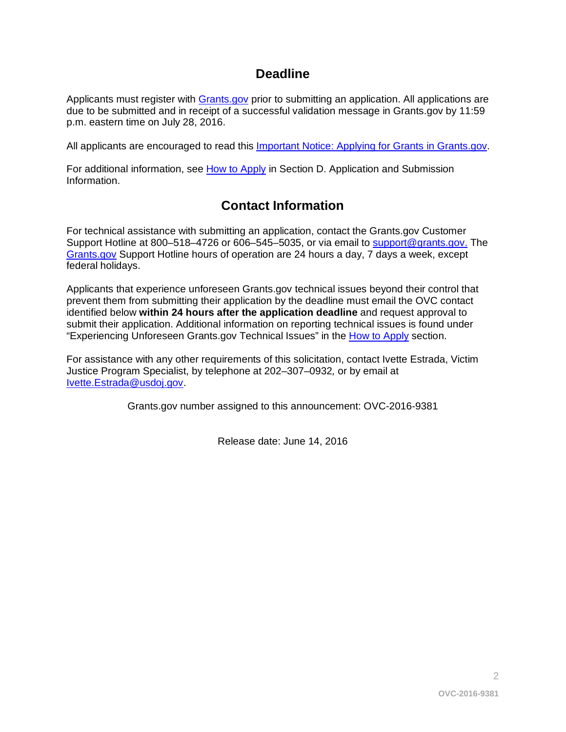# **Deadline**

Applicants must register with [Grants.gov](http://www.grants.gov/applicants/apply_for_grants.jsp) prior to submitting an application. All applications are due to be submitted and in receipt of a successful validation message in Grants.gov by 11:59 p.m. eastern time on July 28, 2016.

All applicants are encouraged to read this [Important Notice: Applying for Grants in Grants.gov.](http://ojp.gov/funding/Apply/Grants-govInfo.htm)

For additional information, see [How to Apply](#page-23-0) in Section D. Application and Submission [Information.](#page-12-0)

# **Contact Information**

For technical assistance with submitting an application, contact the Grants.gov Customer Support Hotline at 800-518-4726 or 606-545-5035, or via email to [support@grants.gov.](mailto:support@grants.gov) The [Grants.gov](http://www.grants.gov/applicants/apply_for_grants.jsp) Support Hotline hours of operation are 24 hours a day, 7 days a week, except federal holidays.

Applicants that experience unforeseen Grants.gov technical issues beyond their control that prevent them from submitting their application by the deadline must email the OVC contact identified below **within 24 hours after the application deadline** and request approval to submit their application. Additional information on reporting technical issues is found under "Experiencing Unforeseen Grants.gov Technical Issues" in the [How to Apply](#page-23-0) section.

For assistance with any other requirements of this solicitation, contact Ivette Estrada, Victim Justice Program Specialist, by telephone at 202–307–0932*,* or by email at [Ivette.Estrada@usdoj.gov.](mailto:Ivette.Estrada@usdoj.gov)

Grants.gov number assigned to this announcement: OVC-2016-9381

Release date: June 14, 2016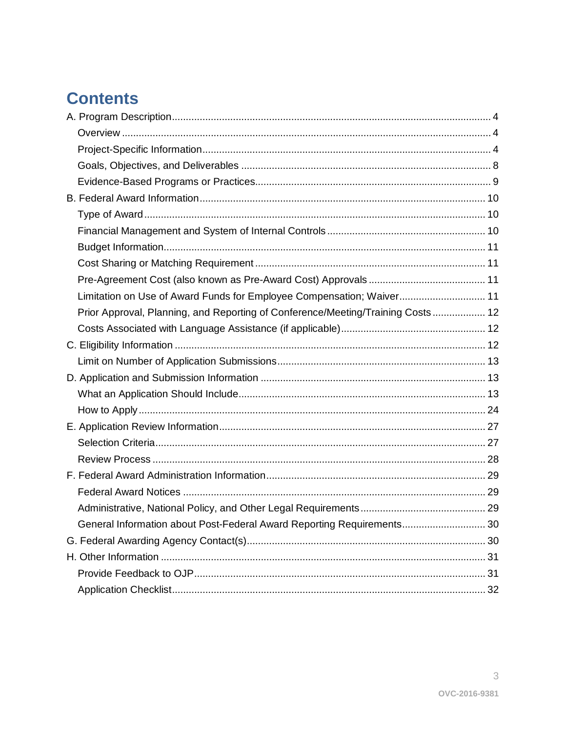# **Contents**

| Limitation on Use of Award Funds for Employee Compensation; Waiver 11           |  |
|---------------------------------------------------------------------------------|--|
| Prior Approval, Planning, and Reporting of Conference/Meeting/Training Costs 12 |  |
|                                                                                 |  |
|                                                                                 |  |
|                                                                                 |  |
|                                                                                 |  |
|                                                                                 |  |
|                                                                                 |  |
|                                                                                 |  |
|                                                                                 |  |
|                                                                                 |  |
|                                                                                 |  |
|                                                                                 |  |
|                                                                                 |  |
| General Information about Post-Federal Award Reporting Requirements 30          |  |
|                                                                                 |  |
|                                                                                 |  |
|                                                                                 |  |
|                                                                                 |  |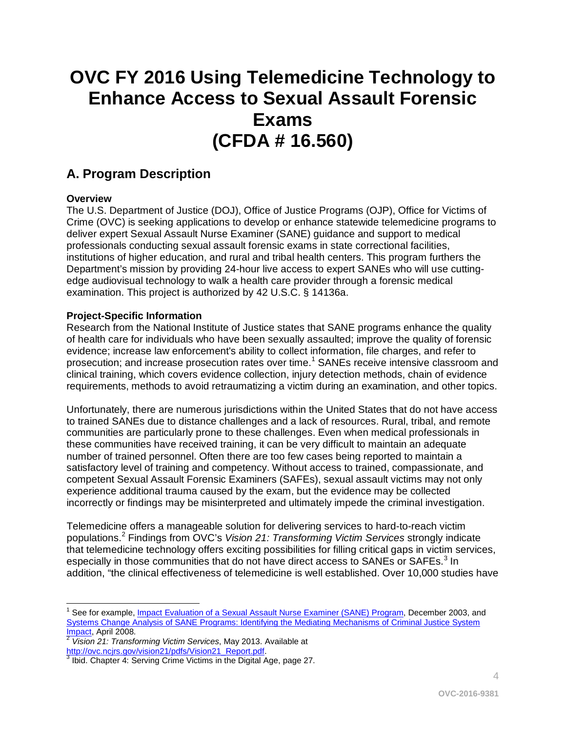# **OVC FY 2016 Using Telemedicine Technology to Enhance Access to Sexual Assault Forensic Exams (CFDA # 16.560)**

# <span id="page-3-0"></span>**A. Program Description**

### <span id="page-3-1"></span>**Overview**

The [U.S. Department of Justice](http://www.usdoj.gov/) (DOJ), [Office of Justice Programs](http://www.ojp.usdoj.gov/) (OJP), Office for Victims of Crime (OVC) is seeking applications to develop or enhance statewide telemedicine programs to deliver expert Sexual Assault Nurse Examiner (SANE) guidance and support to medical professionals conducting sexual assault forensic exams in state correctional facilities, institutions of higher education, and rural and tribal health centers. This program furthers the Department's mission by providing 24-hour live access to expert SANEs who will use cuttingedge audiovisual technology to walk a health care provider through a forensic medical examination. This project is authorized by 42 U.S.C. § 14136a.

### <span id="page-3-2"></span>**Project-Specific Information**

Research from the National Institute of Justice states that SANE programs enhance the quality of health care for individuals who have been sexually assaulted; improve the quality of forensic evidence; increase law enforcement's ability to collect information, file charges, and refer to prosecution; and increase prosecution rates over time.<sup>[1](#page-3-3)</sup> SANEs receive intensive classroom and clinical training, which covers evidence collection, injury detection methods, chain of evidence requirements, methods to avoid retraumatizing a victim during an examination, and other topics.

Unfortunately, there are numerous jurisdictions within the United States that do not have access to trained SANEs due to distance challenges and a lack of resources. Rural, tribal, and remote communities are particularly prone to these challenges. Even when medical professionals in these communities have received training, it can be very difficult to maintain an adequate number of trained personnel. Often there are too few cases being reported to maintain a satisfactory level of training and competency. Without access to trained, compassionate, and competent Sexual Assault Forensic Examiners (SAFEs), sexual assault victims may not only experience additional trauma caused by the exam, but the evidence may be collected incorrectly or findings may be misinterpreted and ultimately impede the criminal investigation.

Telemedicine offers a manageable solution for delivering services to hard-to-reach victim populations. [2](#page-3-4) Findings from OVC's *Vision 21: Transforming Victim Services* strongly indicate that telemedicine technology offers exciting possibilities for filling critical gaps in victim services, especially in those communities that do not have direct access to SANEs or SAFEs.<sup>[3](#page-3-5)</sup> In addition, "the clinical effectiveness of telemedicine is well established. Over 10,000 studies have

<span id="page-3-3"></span> See for example[, Impact Evaluation of a Sexual Assault Nurse Examiner \(SANE\) Program,](http://www.ncjrs.gov/pdffiles1/nij/grants/203276.pdf) December 2003, and Systems Change Analysis of SANE Programs: Identifying the Mediating Mechanisms of Criminal Justice System<br>Impact, April 2008.<br>2 Vicina 24: Transforming Victim Osmites May 2012.

<span id="page-3-4"></span><sup>&</sup>lt;sup>[2](http://www.ncjrs.gov/pdffiles1/nij/grants/226497.pdf)</sup> Vision 21: Transforming Victim Services, May 2013. Available at http://ovc.ncjrs.gov/vision21/pdfs/Vision21\_Report.pdf.

<span id="page-3-5"></span> $\frac{3}{1}$  $\frac{3}{1}$  $\frac{3}{1}$  Ibid. Chapter 4: Serving Crime Victims in the Digital Age, page 27.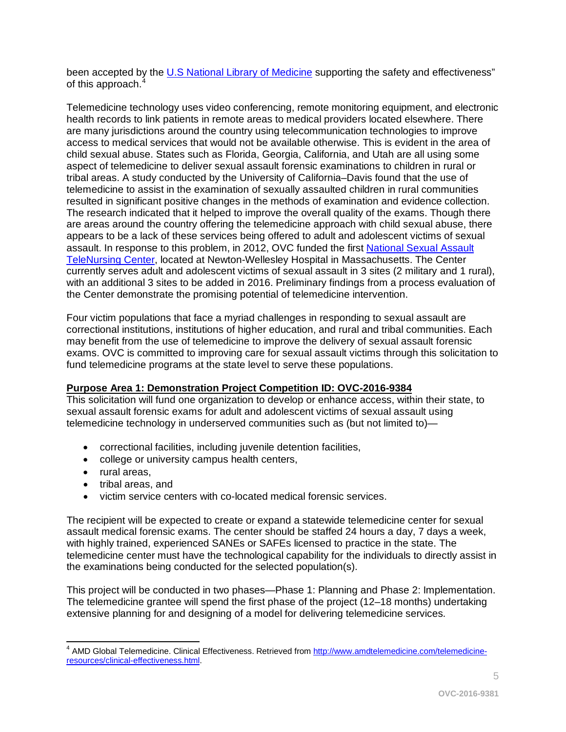been accepted by the [U.S National Library of Medicine](https://www.nlm.nih.gov/) supporting the safety and effectiveness" of this approach.<sup>[4](#page-4-0)</sup>

Telemedicine technology uses video conferencing, remote monitoring equipment, and electronic health records to link patients in remote areas to medical providers located elsewhere. There are many jurisdictions around the country using telecommunication technologies to improve access to medical services that would not be available otherwise. This is evident in the area of child sexual abuse. States such as Florida, Georgia, California, and Utah are all using some aspect of telemedicine to deliver sexual assault forensic examinations to children in rural or tribal areas. A study conducted by the University of California–Davis found that the use of telemedicine to assist in the examination of sexually assaulted children in rural communities resulted in significant positive changes in the methods of examination and evidence collection. The research indicated that it helped to improve the overall quality of the exams. Though there are areas around the country offering the telemedicine approach with child sexual abuse, there appears to be a lack of these services being offered to adult and adolescent victims of sexual assault. In response to this problem, in 2012, OVC funded the first [National Sexual Assault](http://www.mass.gov/eohhs/gov/departments/dph/programs/community-health/dvip/violence/sane/telenursing/)  [TeleNursing Center,](http://www.mass.gov/eohhs/gov/departments/dph/programs/community-health/dvip/violence/sane/telenursing/) located at Newton-Wellesley Hospital in Massachusetts. The Center currently serves adult and adolescent victims of sexual assault in 3 sites (2 military and 1 rural), with an additional 3 sites to be added in 2016. Preliminary findings from a process evaluation of the Center demonstrate the promising potential of telemedicine intervention.

Four victim populations that face a myriad challenges in responding to sexual assault are correctional institutions, institutions of higher education, and rural and tribal communities. Each may benefit from the use of telemedicine to improve the delivery of sexual assault forensic exams. OVC is committed to improving care for sexual assault victims through this solicitation to fund telemedicine programs at the state level to serve these populations.

#### **Purpose Area 1: Demonstration Project Competition ID: OVC-2016-9384**

This solicitation will fund one organization to develop or enhance access, within their state, to sexual assault forensic exams for adult and adolescent victims of sexual assault using telemedicine technology in underserved communities such as (but not limited to)—

- correctional facilities, including juvenile detention facilities,
- college or university campus health centers,
- rural areas,
- tribal areas, and
- victim service centers with co-located medical forensic services.

The recipient will be expected to create or expand a statewide telemedicine center for sexual assault medical forensic exams. The center should be staffed 24 hours a day, 7 days a week, with highly trained, experienced SANEs or SAFEs licensed to practice in the state. The telemedicine center must have the technological capability for the individuals to directly assist in the examinations being conducted for the selected population(s).

This project will be conducted in two phases—Phase 1: Planning and Phase 2: Implementation. The telemedicine grantee will spend the first phase of the project (12–18 months) undertaking extensive planning for and designing of a model for delivering telemedicine services.

<span id="page-4-0"></span> $\overline{\phantom{a}}$ <sup>4</sup> AMD Global Telemedicine. Clinical Effectiveness. Retrieved from [http://www.amdtelemedicine.com/telemedicine](http://www.amdtelemedicine.com/telemedicine-resources/clinical-effectiveness.html)[resources/clinical-effectiveness.html.](http://www.amdtelemedicine.com/telemedicine-resources/clinical-effectiveness.html)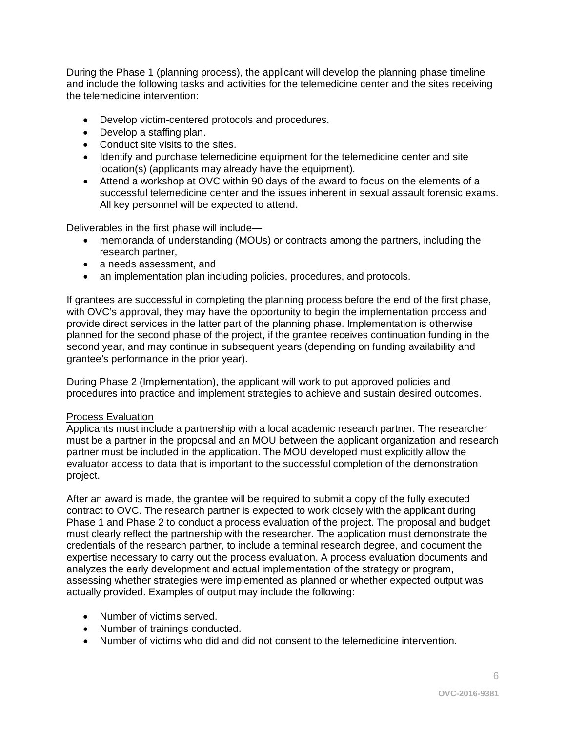During the Phase 1 (planning process), the applicant will develop the planning phase timeline and include the following tasks and activities for the telemedicine center and the sites receiving the telemedicine intervention:

- Develop victim-centered protocols and procedures.
- Develop a staffing plan.
- Conduct site visits to the sites.
- Identify and purchase telemedicine equipment for the telemedicine center and site location(s) (applicants may already have the equipment).
- Attend a workshop at OVC within 90 days of the award to focus on the elements of a successful telemedicine center and the issues inherent in sexual assault forensic exams. All key personnel will be expected to attend.

Deliverables in the first phase will include—

- memoranda of understanding (MOUs) or contracts among the partners, including the research partner,
- a needs assessment, and
- an implementation plan including policies, procedures, and protocols.

If grantees are successful in completing the planning process before the end of the first phase, with OVC's approval, they may have the opportunity to begin the implementation process and provide direct services in the latter part of the planning phase. Implementation is otherwise planned for the second phase of the project, if the grantee receives continuation funding in the second year, and may continue in subsequent years (depending on funding availability and grantee's performance in the prior year).

During Phase 2 (Implementation), the applicant will work to put approved policies and procedures into practice and implement strategies to achieve and sustain desired outcomes.

#### Process Evaluation

Applicants must include a partnership with a local academic research partner. The researcher must be a partner in the proposal and an MOU between the applicant organization and research partner must be included in the application. The MOU developed must explicitly allow the evaluator access to data that is important to the successful completion of the demonstration project.

After an award is made, the grantee will be required to submit a copy of the fully executed contract to OVC. The research partner is expected to work closely with the applicant during Phase 1 and Phase 2 to conduct a process evaluation of the project. The proposal and budget must clearly reflect the partnership with the researcher. The application must demonstrate the credentials of the research partner, to include a terminal research degree, and document the expertise necessary to carry out the process evaluation. A process evaluation documents and analyzes the early development and actual implementation of the strategy or program, assessing whether strategies were implemented as planned or whether expected output was actually provided. Examples of output may include the following:

- Number of victims served.
- Number of trainings conducted.
- Number of victims who did and did not consent to the telemedicine intervention.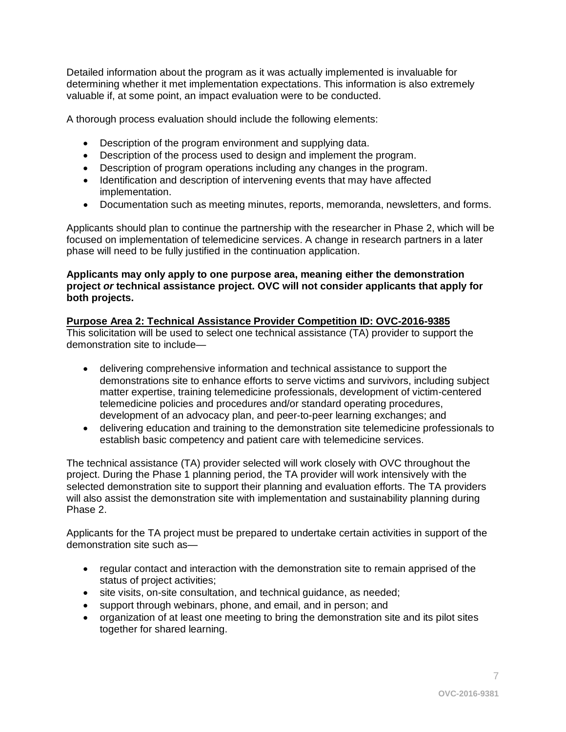Detailed information about the program as it was actually implemented is invaluable for determining whether it met implementation expectations. This information is also extremely valuable if, at some point, an impact evaluation were to be conducted.

A thorough process evaluation should include the following elements:

- Description of the program environment and supplying data.
- Description of the process used to design and implement the program.
- Description of program operations including any changes in the program.
- Identification and description of intervening events that may have affected implementation.
- Documentation such as meeting minutes, reports, memoranda, newsletters, and forms.

Applicants should plan to continue the partnership with the researcher in Phase 2, which will be focused on implementation of telemedicine services. A change in research partners in a later phase will need to be fully justified in the continuation application.

#### **Applicants may only apply to one purpose area, meaning either the demonstration project** *or* **technical assistance project. OVC will not consider applicants that apply for both projects.**

#### **Purpose Area 2: Technical Assistance Provider Competition ID: OVC-2016-9385** This solicitation will be used to select one technical assistance (TA) provider to support the demonstration site to include—

- delivering comprehensive information and technical assistance to support the demonstrations site to enhance efforts to serve victims and survivors, including subject matter expertise, training telemedicine professionals, development of victim-centered telemedicine policies and procedures and/or standard operating procedures, development of an advocacy plan, and peer-to-peer learning exchanges; and
- delivering education and training to the demonstration site telemedicine professionals to establish basic competency and patient care with telemedicine services.

The technical assistance (TA) provider selected will work closely with OVC throughout the project. During the Phase 1 planning period, the TA provider will work intensively with the selected demonstration site to support their planning and evaluation efforts. The TA providers will also assist the demonstration site with implementation and sustainability planning during Phase 2.

Applicants for the TA project must be prepared to undertake certain activities in support of the demonstration site such as—

- regular contact and interaction with the demonstration site to remain apprised of the status of project activities;
- site visits, on-site consultation, and technical quidance, as needed;
- support through webinars, phone, and email, and in person; and
- organization of at least one meeting to bring the demonstration site and its pilot sites together for shared learning.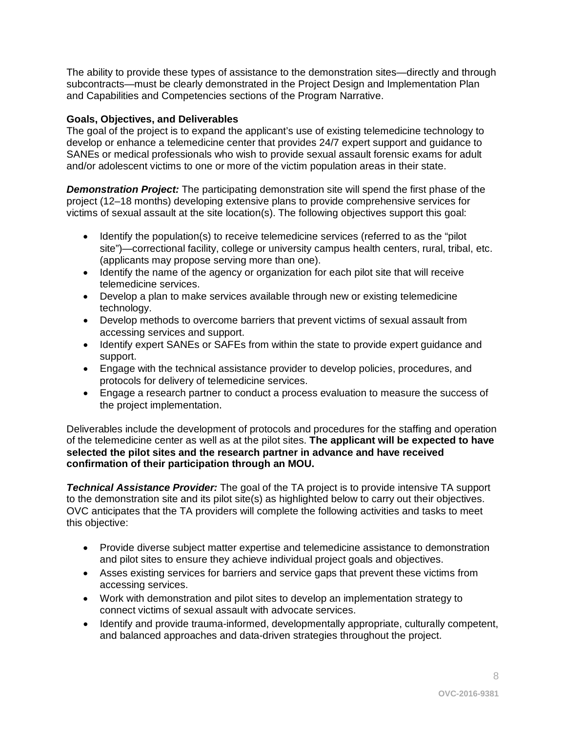The ability to provide these types of assistance to the demonstration sites—directly and through subcontracts—must be clearly demonstrated in the Project Design and Implementation Plan and Capabilities and Competencies sections of the Program Narrative.

#### <span id="page-7-0"></span>**Goals, Objectives, and Deliverables**

The goal of the project is to expand the applicant's use of existing telemedicine technology to develop or enhance a telemedicine center that provides 24/7 expert support and guidance to SANEs or medical professionals who wish to provide sexual assault forensic exams for adult and/or adolescent victims to one or more of the victim population areas in their state.

**Demonstration Project:** The participating demonstration site will spend the first phase of the project (12–18 months) developing extensive plans to provide comprehensive services for victims of sexual assault at the site location(s). The following objectives support this goal:

- Identify the population(s) to receive telemedicine services (referred to as the "pilot site")—correctional facility, college or university campus health centers, rural, tribal, etc. (applicants may propose serving more than one).
- Identify the name of the agency or organization for each pilot site that will receive telemedicine services.
- Develop a plan to make services available through new or existing telemedicine technology.
- Develop methods to overcome barriers that prevent victims of sexual assault from accessing services and support.
- Identify expert SANEs or SAFEs from within the state to provide expert guidance and support.
- Engage with the technical assistance provider to develop policies, procedures, and protocols for delivery of telemedicine services.
- Engage a research partner to conduct a process evaluation to measure the success of the project implementation.

Deliverables include the development of protocols and procedures for the staffing and operation of the telemedicine center as well as at the pilot sites. **The applicant will be expected to have selected the pilot sites and the research partner in advance and have received confirmation of their participation through an MOU.**

*Technical Assistance Provider:* The goal of the TA project is to provide intensive TA support to the demonstration site and its pilot site(s) as highlighted below to carry out their objectives. OVC anticipates that the TA providers will complete the following activities and tasks to meet this objective:

- Provide diverse subject matter expertise and telemedicine assistance to demonstration and pilot sites to ensure they achieve individual project goals and objectives.
- Asses existing services for barriers and service gaps that prevent these victims from accessing services.
- Work with demonstration and pilot sites to develop an implementation strategy to connect victims of sexual assault with advocate services.
- Identify and provide trauma-informed, developmentally appropriate, culturally competent, and balanced approaches and data-driven strategies throughout the project.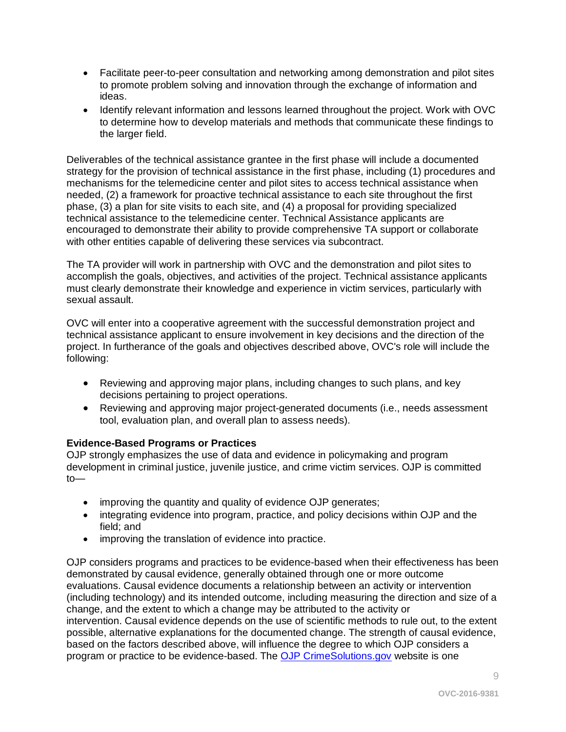- Facilitate peer-to-peer consultation and networking among demonstration and pilot sites to promote problem solving and innovation through the exchange of information and ideas.
- Identify relevant information and lessons learned throughout the project. Work with OVC to determine how to develop materials and methods that communicate these findings to the larger field.

Deliverables of the technical assistance grantee in the first phase will include a documented strategy for the provision of technical assistance in the first phase, including (1) procedures and mechanisms for the telemedicine center and pilot sites to access technical assistance when needed, (2) a framework for proactive technical assistance to each site throughout the first phase, (3) a plan for site visits to each site, and (4) a proposal for providing specialized technical assistance to the telemedicine center. Technical Assistance applicants are encouraged to demonstrate their ability to provide comprehensive TA support or collaborate with other entities capable of delivering these services via subcontract.

The TA provider will work in partnership with OVC and the demonstration and pilot sites to accomplish the goals, objectives, and activities of the project. Technical assistance applicants must clearly demonstrate their knowledge and experience in victim services, particularly with sexual assault.

OVC will enter into a cooperative agreement with the successful demonstration project and technical assistance applicant to ensure involvement in key decisions and the direction of the project. In furtherance of the goals and objectives described above, OVC's role will include the following:

- Reviewing and approving major plans, including changes to such plans, and key decisions pertaining to project operations.
- Reviewing and approving major project-generated documents (i.e., needs assessment tool, evaluation plan, and overall plan to assess needs).

## <span id="page-8-0"></span>**Evidence-Based Programs or Practices**

OJP strongly emphasizes the use of data and evidence in policymaking and program development in criminal justice, juvenile justice, and crime victim services. OJP is committed to—

- improving the quantity and quality of evidence OJP generates;
- integrating evidence into program, practice, and policy decisions within OJP and the field; and
- improving the translation of evidence into practice.

OJP considers programs and practices to be evidence-based when their effectiveness has been demonstrated by causal evidence, generally obtained through one or more outcome evaluations. Causal evidence documents a relationship between an activity or intervention (including technology) and its intended outcome, including measuring the direction and size of a change, and the extent to which a change may be attributed to the activity or intervention. Causal evidence depends on the use of scientific methods to rule out, to the extent possible, alternative explanations for the documented change. The strength of causal evidence, based on the factors described above, will influence the degree to which OJP considers a program or practice to be evidence-based. The [OJP CrimeSolutions.gov](http://www.crimesolutions.gov/) website is one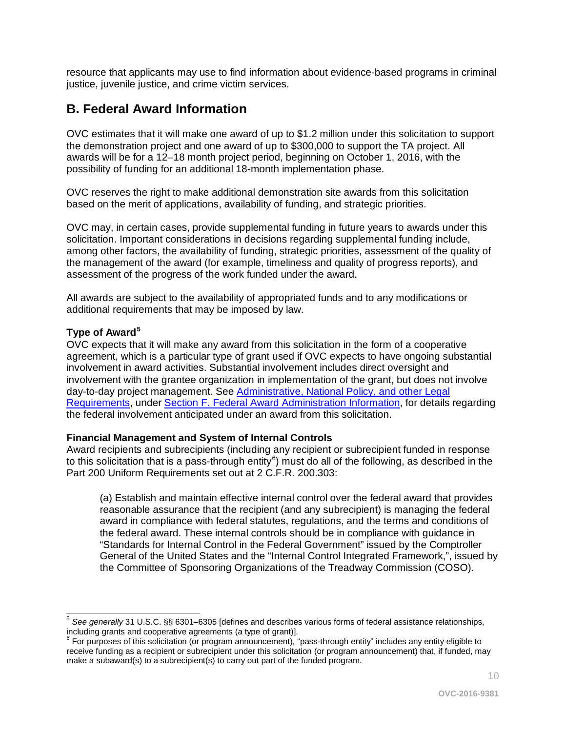resource that applicants may use to find information about evidence-based programs in criminal justice, juvenile justice, and crime victim services.

# <span id="page-9-0"></span>**B. Federal Award Information**

OVC estimates that it will make one award of up to \$1.2 million under this solicitation to support the demonstration project and one award of up to \$300,000 to support the TA project. All awards will be for a 12–18 month project period, beginning on October 1, 2016, with the possibility of funding for an additional 18-month implementation phase.

OVC reserves the right to make additional demonstration site awards from this solicitation based on the merit of applications, availability of funding, and strategic priorities.

OVC may, in certain cases, provide supplemental funding in future years to awards under this solicitation. Important considerations in decisions regarding supplemental funding include, among other factors, the availability of funding, strategic priorities, assessment of the quality of the management of the award (for example, timeliness and quality of progress reports), and assessment of the progress of the work funded under the award.

All awards are subject to the availability of appropriated funds and to any modifications or additional requirements that may be imposed by law.

### <span id="page-9-1"></span>**Type of Award[5](#page-9-3)**

OVC expects that it will make any award from this solicitation in the form of a cooperative agreement, which is a particular type of grant used if OVC expects to have ongoing substantial involvement in award activities. Substantial involvement includes direct oversight and involvement with the grantee organization in implementation of the grant, but does not involve day-to-day project management. See [Administrative, National Policy, and other Legal](#page-28-0)  [Requirements,](#page-28-0) under [Section F. Federal Award Administration Information,](#page-28-0) for details regarding the federal involvement anticipated under an award from this solicitation.

#### <span id="page-9-2"></span>**Financial Management and System of Internal Controls**

Award recipients and subrecipients (including any recipient or subrecipient funded in response to this solicitation that is a pass-through entity<sup>[6](#page-9-4)</sup>) must do all of the following, as described in the Part 200 Uniform Requirements set out at 2 C.F.R. 200.303:

(a) Establish and maintain effective internal control over the federal award that provides reasonable assurance that the recipient (and any subrecipient) is managing the federal award in compliance with federal statutes, regulations, and the terms and conditions of the federal award. These internal controls should be in compliance with guidance in "Standards for Internal Control in the Federal Government" issued by the Comptroller General of the United States and the "Internal Control Integrated Framework,", issued by the Committee of Sponsoring Organizations of the Treadway Commission (COSO).

<span id="page-9-3"></span> $\overline{a}$ <sup>5</sup> See generally 31 U.S.C. §§ 6301–6305 [defines and describes various forms of federal assistance relationships, including grants and cooperative agreements (a type of grant)].

<span id="page-9-4"></span>For purposes of this solicitation (or program announcement), "pass-through entity" includes any entity eligible to receive funding as a recipient or subrecipient under this solicitation (or program announcement) that, if funded, may make a subaward(s) to a subrecipient(s) to carry out part of the funded program.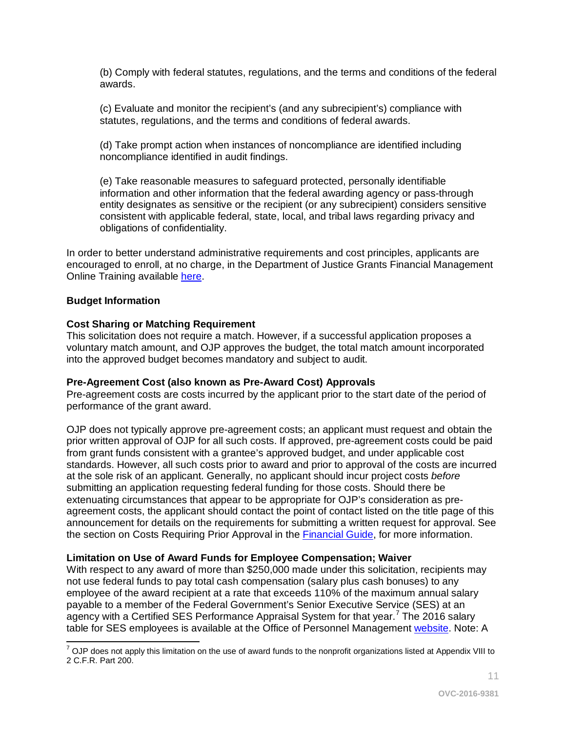(b) Comply with federal statutes, regulations, and the terms and conditions of the federal awards.

(c) Evaluate and monitor the recipient's (and any subrecipient's) compliance with statutes, regulations, and the terms and conditions of federal awards.

(d) Take prompt action when instances of noncompliance are identified including noncompliance identified in audit findings.

(e) Take reasonable measures to safeguard protected, personally identifiable information and other information that the federal awarding agency or pass-through entity designates as sensitive or the recipient (or any subrecipient) considers sensitive consistent with applicable federal, state, local, and tribal laws regarding privacy and obligations of confidentiality.

In order to better understand administrative requirements and cost principles, applicants are encouraged to enroll, at no charge, in the Department of Justice Grants Financial Management Online Training available [here.](http://gfm.webfirst.com/)

#### <span id="page-10-0"></span>**Budget Information**

#### <span id="page-10-1"></span>**Cost Sharing or Matching Requirement**

This solicitation does not require a match. However, if a successful application proposes a voluntary match amount, and OJP approves the budget, the total match amount incorporated into the approved budget becomes mandatory and subject to audit.

#### <span id="page-10-2"></span>**Pre-Agreement Cost (also known as Pre-Award Cost) Approvals**

Pre-agreement costs are costs incurred by the applicant prior to the start date of the period of performance of the grant award.

OJP does not typically approve pre-agreement costs; an applicant must request and obtain the prior written approval of OJP for all such costs. If approved, pre-agreement costs could be paid from grant funds consistent with a grantee's approved budget, and under applicable cost standards. However, all such costs prior to award and prior to approval of the costs are incurred at the sole risk of an applicant. Generally, no applicant should incur project costs *before* submitting an application requesting federal funding for those costs. Should there be extenuating circumstances that appear to be appropriate for OJP's consideration as preagreement costs, the applicant should contact the point of contact listed on the title page of this announcement for details on the requirements for submitting a written request for approval. See the section on Costs Requiring Prior Approval in the [Financial Guide,](http://ojp.gov/financialguide/DOJ/index.htm) for more information.

#### <span id="page-10-3"></span>**Limitation on Use of Award Funds for Employee Compensation; Waiver**

With respect to any award of more than \$250,000 made under this solicitation, recipients may not use federal funds to pay total cash compensation (salary plus cash bonuses) to any employee of the award recipient at a rate that exceeds 110% of the maximum annual salary payable to a member of the Federal Government's Senior Executive Service (SES) at an agency with a Certified SES Performance Appraisal System for that year.<sup>[7](#page-10-4)</sup> The 2016 salary table for SES employees is available at the Office of Personnel Management [website.](http://www.opm.gov/policy-data-oversight/pay-leave/salaries-wages/salary-tables/16Tables/exec/html/ES.aspx) Note: A

11

<span id="page-10-4"></span> $\overline{a}$  $^7$  OJP does not apply this limitation on the use of award funds to the nonprofit organizations listed at Appendix VIII to 2 C.F.R. Part 200.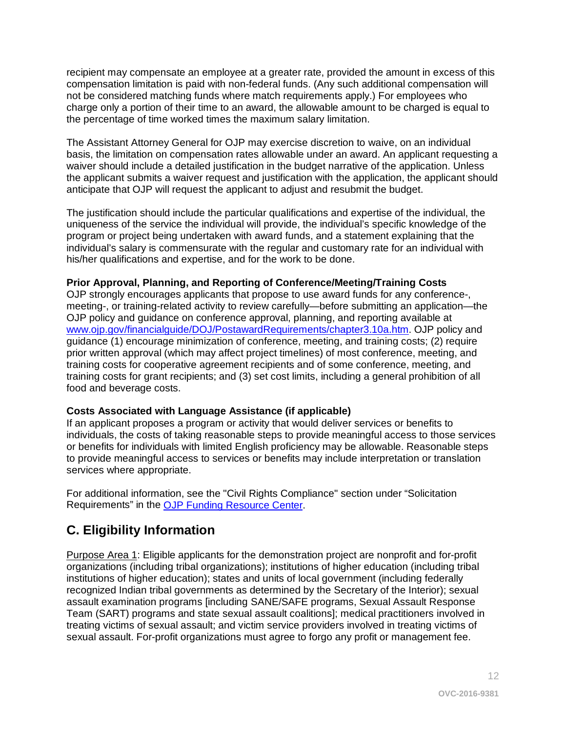recipient may compensate an employee at a greater rate, provided the amount in excess of this compensation limitation is paid with non-federal funds. (Any such additional compensation will not be considered matching funds where match requirements apply.) For employees who charge only a portion of their time to an award, the allowable amount to be charged is equal to the percentage of time worked times the maximum salary limitation.

The Assistant Attorney General for OJP may exercise discretion to waive, on an individual basis, the limitation on compensation rates allowable under an award. An applicant requesting a waiver should include a detailed justification in the budget narrative of the application. Unless the applicant submits a waiver request and justification with the application, the applicant should anticipate that OJP will request the applicant to adjust and resubmit the budget.

The justification should include the particular qualifications and expertise of the individual, the uniqueness of the service the individual will provide, the individual's specific knowledge of the program or project being undertaken with award funds, and a statement explaining that the individual's salary is commensurate with the regular and customary rate for an individual with his/her qualifications and expertise, and for the work to be done.

#### <span id="page-11-1"></span>**Prior Approval, Planning, and Reporting of Conference/Meeting/Training Costs**

OJP strongly encourages applicants that propose to use award funds for any conference-, meeting-, or training-related activity to review carefully—before submitting an application—the OJP policy and guidance on conference approval, planning, and reporting available at [www.ojp.gov/financialguide/DOJ/PostawardRequirements/chapter3.10a.htm.](http://www.ojp.gov/financialguide/DOJ/PostawardRequirements/chapter3.10a.htm) OJP policy and guidance (1) encourage minimization of conference, meeting, and training costs; (2) require prior written approval (which may affect project timelines) of most conference, meeting, and training costs for cooperative agreement recipients and of some conference, meeting, and training costs for grant recipients; and (3) set cost limits, including a general prohibition of all food and beverage costs.

#### <span id="page-11-2"></span>**Costs Associated with Language Assistance (if applicable)**

If an applicant proposes a program or activity that would deliver services or benefits to individuals, the costs of taking reasonable steps to provide meaningful access to those services or benefits for individuals with limited English proficiency may be allowable. Reasonable steps to provide meaningful access to services or benefits may include interpretation or translation services where appropriate.

For additional information, see the "Civil Rights Compliance" section under "Solicitation Requirements" in the [OJP Funding Resource Center.](http://ojp.gov/funding/index.htm)

# <span id="page-11-0"></span>**C. Eligibility Information**

Purpose Area 1: Eligible applicants for the demonstration project are nonprofit and for-profit organizations (including tribal organizations); institutions of higher education (including tribal institutions of higher education); states and units of local government (including federally recognized Indian tribal governments as determined by the Secretary of the Interior); sexual assault examination programs [including SANE/SAFE programs, Sexual Assault Response Team (SART) programs and state sexual assault coalitions]; medical practitioners involved in treating victims of sexual assault; and victim service providers involved in treating victims of sexual assault. For-profit organizations must agree to forgo any profit or management fee.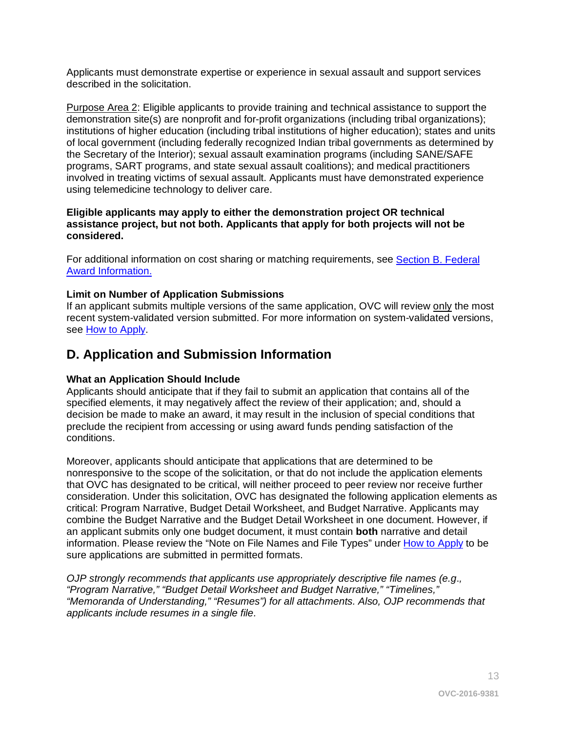Applicants must demonstrate expertise or experience in sexual assault and support services described in the solicitation.

Purpose Area 2: Eligible applicants to provide training and technical assistance to support the demonstration site(s) are nonprofit and for-profit organizations (including tribal organizations); institutions of higher education (including tribal institutions of higher education); states and units of local government (including federally recognized Indian tribal governments as determined by the Secretary of the Interior); sexual assault examination programs (including SANE/SAFE programs, SART programs, and state sexual assault coalitions); and medical practitioners involved in treating victims of sexual assault. Applicants must have demonstrated experience using telemedicine technology to deliver care.

#### **Eligible applicants may apply to either the demonstration project OR technical assistance project, but not both. Applicants that apply for both projects will not be considered.**

For additional information on cost sharing or matching requirements, see Section [B. Federal](#page-9-0)  [Award Information.](#page-9-0)

#### <span id="page-12-1"></span>**Limit on Number of Application Submissions**

If an applicant submits multiple versions of the same application, OVC will review only the most recent system-validated version submitted. For more information on system-validated versions, see [How to Apply.](#page-23-0)

## <span id="page-12-0"></span>**D. Application and Submission Information**

#### <span id="page-12-2"></span>**What an Application Should Include**

Applicants should anticipate that if they fail to submit an application that contains all of the specified elements, it may negatively affect the review of their application; and, should a decision be made to make an award, it may result in the inclusion of special conditions that preclude the recipient from accessing or using award funds pending satisfaction of the conditions.

Moreover, applicants should anticipate that applications that are determined to be nonresponsive to the scope of the solicitation, or that do not include the application elements that OVC has designated to be critical, will neither proceed to peer review nor receive further consideration. Under this solicitation, OVC has designated the following application elements as critical: Program Narrative, Budget Detail Worksheet, and Budget Narrative. Applicants may combine the Budget Narrative and the Budget Detail Worksheet in one document. However, if an applicant submits only one budget document, it must contain **both** narrative and detail information. Please review the "Note on File Names and File Types" under [How to Apply](#page-23-0) to be sure applications are submitted in permitted formats.

*OJP strongly recommends that applicants use appropriately descriptive file names (e.g*.*, "Program Narrative," "Budget Detail Worksheet and Budget Narrative," "Timelines," "Memoranda of Understanding," "Resumes") for all attachments. Also, OJP recommends that applicants include resumes in a single file.*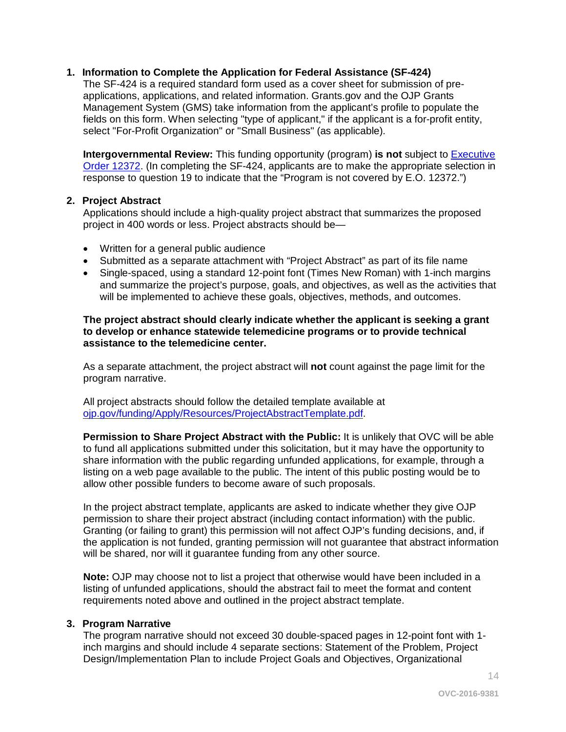#### **1. Information to Complete the Application for Federal Assistance (SF-424)**

The SF-424 is a required standard form used as a cover sheet for submission of preapplications, applications, and related information. Grants.gov and the OJP Grants Management System (GMS) take information from the applicant's profile to populate the fields on this form. When selecting "type of applicant," if the applicant is a for-profit entity, select "For-Profit Organization" or "Small Business" (as applicable).

**Intergovernmental Review:** This funding opportunity (program) **is not** subject to [Executive](http://www.archives.gov/federal-register/codification/executive-order/12372.html)  [Order 12372.](http://www.archives.gov/federal-register/codification/executive-order/12372.html) (In completing the SF-424, applicants are to make the appropriate selection in response to question 19 to indicate that the "Program is not covered by E.O. 12372.")

#### **2. Project Abstract**

Applications should include a high-quality project abstract that summarizes the proposed project in 400 words or less. Project abstracts should be—

- Written for a general public audience
- Submitted as a separate attachment with "Project Abstract" as part of its file name
- Single-spaced, using a standard 12-point font (Times New Roman) with 1-inch margins and summarize the project's purpose, goals, and objectives, as well as the activities that will be implemented to achieve these goals, objectives, methods, and outcomes.

#### **The project abstract should clearly indicate whether the applicant is seeking a grant to develop or enhance statewide telemedicine programs or to provide technical assistance to the telemedicine center.**

As a separate attachment, the project abstract will **not** count against the page limit for the program narrative.

All project abstracts should follow the detailed template available at [ojp.gov/funding/Apply/Resources/ProjectAbstractTemplate.pdf.](http://ojp.gov/funding/Apply/Resources/ProjectAbstractTemplate.pdf)

**Permission to Share Project Abstract with the Public:** It is unlikely that OVC will be able to fund all applications submitted under this solicitation, but it may have the opportunity to share information with the public regarding unfunded applications, for example, through a listing on a web page available to the public. The intent of this public posting would be to allow other possible funders to become aware of such proposals.

In the project abstract template, applicants are asked to indicate whether they give OJP permission to share their project abstract (including contact information) with the public. Granting (or failing to grant) this permission will not affect OJP's funding decisions, and, if the application is not funded, granting permission will not guarantee that abstract information will be shared, nor will it guarantee funding from any other source.

**Note:** OJP may choose not to list a project that otherwise would have been included in a listing of unfunded applications, should the abstract fail to meet the format and content requirements noted above and outlined in the project abstract template.

#### **3. Program Narrative**

The program narrative should not exceed 30 double-spaced pages in 12-point font with 1 inch margins and should include 4 separate sections: Statement of the Problem, Project Design/Implementation Plan to include Project Goals and Objectives, Organizational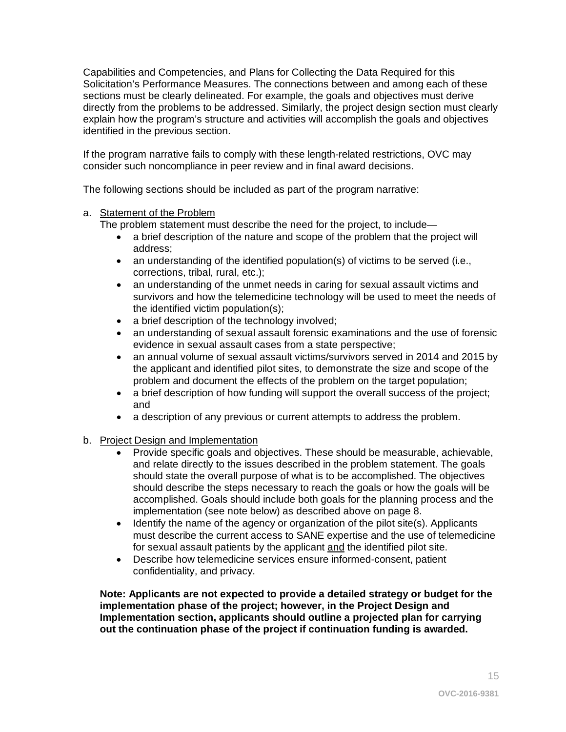Capabilities and Competencies, and Plans for Collecting the Data Required for this Solicitation's Performance Measures. The connections between and among each of these sections must be clearly delineated. For example, the goals and objectives must derive directly from the problems to be addressed. Similarly, the project design section must clearly explain how the program's structure and activities will accomplish the goals and objectives identified in the previous section.

If the program narrative fails to comply with these length-related restrictions, OVC may consider such noncompliance in peer review and in final award decisions.

The following sections should be included as part of the program narrative:

### a. Statement of the Problem

The problem statement must describe the need for the project, to include—

- a brief description of the nature and scope of the problem that the project will address;
- an understanding of the identified population(s) of victims to be served (i.e., corrections, tribal, rural, etc.);
- an understanding of the unmet needs in caring for sexual assault victims and survivors and how the telemedicine technology will be used to meet the needs of the identified victim population(s);
- a brief description of the technology involved;
- an understanding of sexual assault forensic examinations and the use of forensic evidence in sexual assault cases from a state perspective;
- an annual volume of sexual assault victims/survivors served in 2014 and 2015 by the applicant and identified pilot sites, to demonstrate the size and scope of the problem and document the effects of the problem on the target population;
- a brief description of how funding will support the overall success of the project; and
- a description of any previous or current attempts to address the problem.
- b. Project Design and Implementation
	- Provide specific goals and objectives. These should be measurable, achievable, and relate directly to the issues described in the problem statement. The goals should state the overall purpose of what is to be accomplished. The objectives should describe the steps necessary to reach the goals or how the goals will be accomplished. Goals should include both goals for the planning process and the implementation (see note below) as described above on page 8.
	- Identify the name of the agency or organization of the pilot site(s). Applicants must describe the current access to SANE expertise and the use of telemedicine for sexual assault patients by the applicant and the identified pilot site.
	- Describe how telemedicine services ensure informed-consent, patient confidentiality, and privacy.

**Note: Applicants are not expected to provide a detailed strategy or budget for the implementation phase of the project; however, in the Project Design and Implementation section, applicants should outline a projected plan for carrying out the continuation phase of the project if continuation funding is awarded.**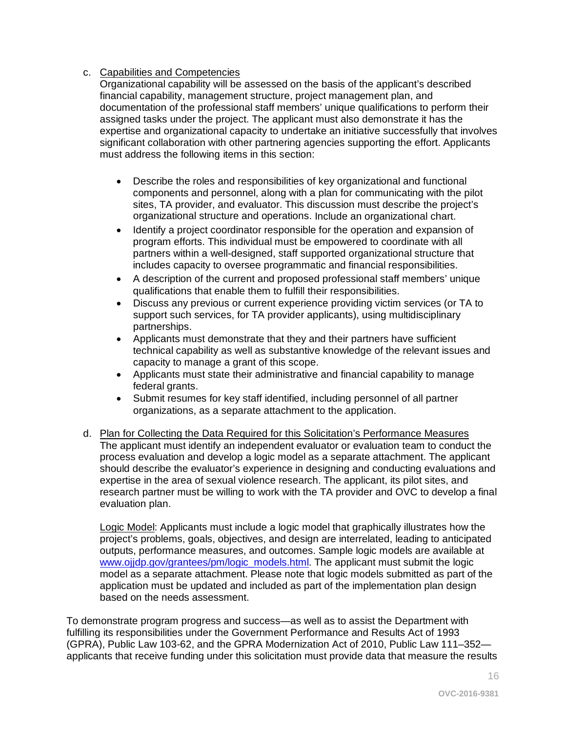#### c. Capabilities and Competencies

Organizational capability will be assessed on the basis of the applicant's described financial capability, management structure, project management plan, and documentation of the professional staff members' unique qualifications to perform their assigned tasks under the project. The applicant must also demonstrate it has the expertise and organizational capacity to undertake an initiative successfully that involves significant collaboration with other partnering agencies supporting the effort. Applicants must address the following items in this section:

- Describe the roles and responsibilities of key organizational and functional components and personnel, along with a plan for communicating with the pilot sites, TA provider, and evaluator. This discussion must describe the project's organizational structure and operations. Include an organizational chart.
- Identify a project coordinator responsible for the operation and expansion of program efforts. This individual must be empowered to coordinate with all partners within a well-designed, staff supported organizational structure that includes capacity to oversee programmatic and financial responsibilities.
- A description of the current and proposed professional staff members' unique qualifications that enable them to fulfill their responsibilities.
- Discuss any previous or current experience providing victim services (or TA to support such services, for TA provider applicants), using multidisciplinary partnerships.
- Applicants must demonstrate that they and their partners have sufficient technical capability as well as substantive knowledge of the relevant issues and capacity to manage a grant of this scope.
- Applicants must state their administrative and financial capability to manage federal grants.
- Submit resumes for key staff identified, including personnel of all partner organizations, as a separate attachment to the application.
- d. Plan for Collecting the Data Required for this Solicitation's Performance Measures The applicant must identify an independent evaluator or evaluation team to conduct the process evaluation and develop a logic model as a separate attachment. The applicant should describe the evaluator's experience in designing and conducting evaluations and expertise in the area of sexual violence research. The applicant, its pilot sites, and research partner must be willing to work with the TA provider and OVC to develop a final evaluation plan.

Logic Model: Applicants must include a logic model that graphically illustrates how the project's problems, goals, objectives, and design are interrelated, leading to anticipated outputs, performance measures, and outcomes. Sample logic models are available at [www.ojjdp.gov/grantees/pm/logic\\_models.html.](http://www.ojjdp.gov/grantees/pm/logic_models.html) The applicant must submit the logic model as a separate attachment. Please note that logic models submitted as part of the application must be updated and included as part of the implementation plan design based on the needs assessment.

To demonstrate program progress and success—as well as to assist the Department with fulfilling its responsibilities under the Government Performance and Results Act of 1993 (GPRA), Public Law 103-62, and the GPRA Modernization Act of 2010, Public Law 111–352 applicants that receive funding under this solicitation must provide data that measure the results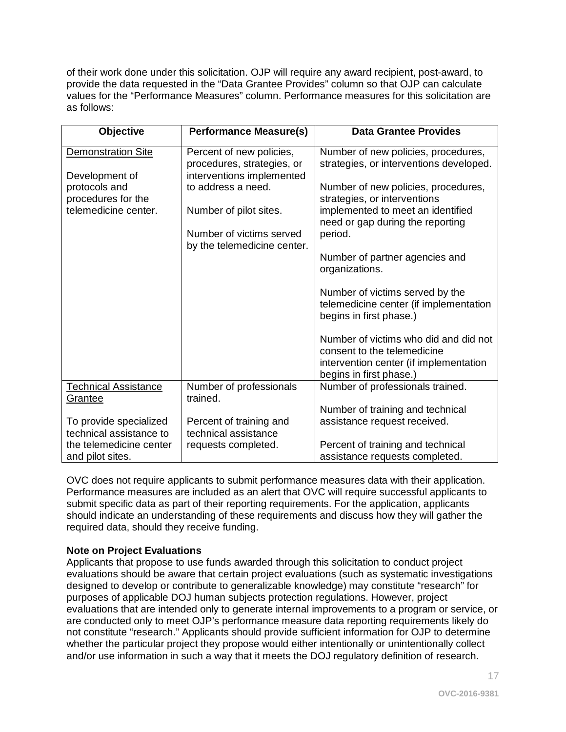of their work done under this solicitation. OJP will require any award recipient, post-award, to provide the data requested in the "Data Grantee Provides" column so that OJP can calculate values for the "Performance Measures" column. Performance measures for this solicitation are as follows:

| <b>Objective</b>                                  | <b>Performance Measure(s)</b>                                                       | <b>Data Grantee Provides</b>                                                                                                              |
|---------------------------------------------------|-------------------------------------------------------------------------------------|-------------------------------------------------------------------------------------------------------------------------------------------|
| Demonstration Site<br>Development of              | Percent of new policies,<br>procedures, strategies, or<br>interventions implemented | Number of new policies, procedures,<br>strategies, or interventions developed.                                                            |
| protocols and<br>procedures for the               | to address a need.                                                                  | Number of new policies, procedures,<br>strategies, or interventions                                                                       |
| telemedicine center.                              | Number of pilot sites.                                                              | implemented to meet an identified<br>need or gap during the reporting                                                                     |
|                                                   | Number of victims served<br>by the telemedicine center.                             | period.                                                                                                                                   |
|                                                   |                                                                                     | Number of partner agencies and<br>organizations.                                                                                          |
|                                                   |                                                                                     | Number of victims served by the<br>telemedicine center (if implementation<br>begins in first phase.)                                      |
|                                                   |                                                                                     | Number of victims who did and did not<br>consent to the telemedicine<br>intervention center (if implementation<br>begins in first phase.) |
| <b>Technical Assistance</b><br>Grantee            | Number of professionals<br>trained.                                                 | Number of professionals trained.                                                                                                          |
|                                                   |                                                                                     | Number of training and technical                                                                                                          |
| To provide specialized<br>technical assistance to | Percent of training and<br>technical assistance                                     | assistance request received.                                                                                                              |
| the telemedicine center<br>and pilot sites.       | requests completed.                                                                 | Percent of training and technical<br>assistance requests completed.                                                                       |

OVC does not require applicants to submit performance measures data with their application. Performance measures are included as an alert that OVC will require successful applicants to submit specific data as part of their reporting requirements. For the application, applicants should indicate an understanding of these requirements and discuss how they will gather the required data, should they receive funding.

#### **Note on Project Evaluations**

Applicants that propose to use funds awarded through this solicitation to conduct project evaluations should be aware that certain project evaluations (such as systematic investigations designed to develop or contribute to generalizable knowledge) may constitute "research" for purposes of applicable DOJ human subjects protection regulations. However, project evaluations that are intended only to generate internal improvements to a program or service, or are conducted only to meet OJP's performance measure data reporting requirements likely do not constitute "research." Applicants should provide sufficient information for OJP to determine whether the particular project they propose would either intentionally or unintentionally collect and/or use information in such a way that it meets the DOJ regulatory definition of research.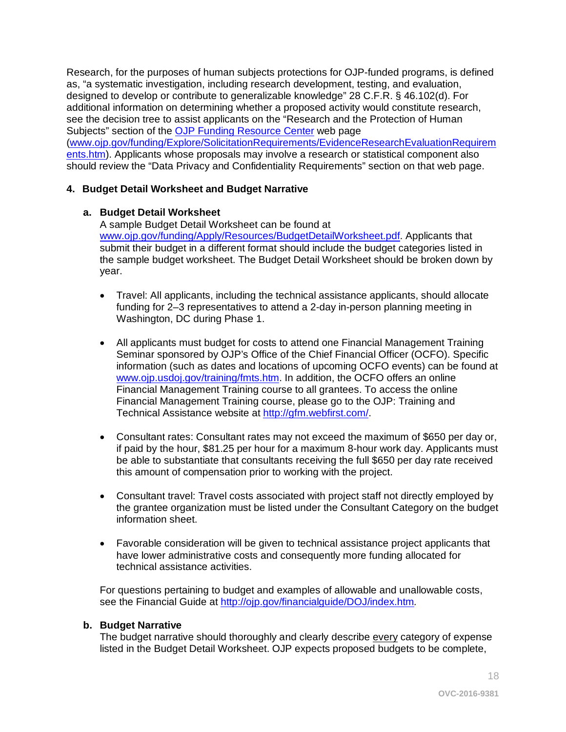Research, for the purposes of human subjects protections for OJP-funded programs, is defined as, "a systematic investigation, including research development, testing, and evaluation, designed to develop or contribute to generalizable knowledge" 28 C.F.R. § 46.102(d). For additional information on determining whether a proposed activity would constitute research, see the decision tree to assist applicants on the "Research and the Protection of Human Subjects" section of the [OJP Funding Resource Center](http://ojp.gov/funding/index.htm) web page [\(www.ojp.gov/funding/Explore/SolicitationRequirements/EvidenceResearchEvaluationRequirem](http://ojp.gov/funding/Explore/SolicitationRequirements/EvidenceResearchEvaluationRequirements.htm) [ents.htm\)](http://ojp.gov/funding/Explore/SolicitationRequirements/EvidenceResearchEvaluationRequirements.htm). Applicants whose proposals may involve a research or statistical component also should review the "Data Privacy and Confidentiality Requirements" section on that web page.

#### **4. Budget Detail Worksheet and Budget Narrative**

#### **a. Budget Detail Worksheet**

A sample Budget Detail Worksheet can be found at [www.ojp.gov/funding/Apply/Resources/BudgetDetailWorksheet.pdf.](http://ojp.gov/funding/Apply/Resources/BudgetDetailWorksheet.pdf) Applicants that submit their budget in a different format should include the budget categories listed in the sample budget worksheet. The Budget Detail Worksheet should be broken down by year.

- Travel: All applicants, including the technical assistance applicants, should allocate funding for 2–3 representatives to attend a 2-day in-person planning meeting in Washington, DC during Phase 1.
- All applicants must budget for costs to attend one Financial Management Training Seminar sponsored by OJP's Office of the Chief Financial Officer (OCFO). Specific information (such as dates and locations of upcoming OCFO events) can be found at [www.ojp.usdoj.gov/training/fmts.htm.](http://www.ojp.usdoj.gov/training/fmts.htm) In addition, the OCFO offers an online Financial Management Training course to all grantees. To access the online Financial Management Training course, please go to the OJP: Training and Technical Assistance website at [http://gfm.webfirst.com/.](http://gfm.webfirst.com/)
- Consultant rates: Consultant rates may not exceed the maximum of \$650 per day or, if paid by the hour, \$81.25 per hour for a maximum 8-hour work day. Applicants must be able to substantiate that consultants receiving the full \$650 per day rate received this amount of compensation prior to working with the project.
- Consultant travel: Travel costs associated with project staff not directly employed by the grantee organization must be listed under the Consultant Category on the budget information sheet.
- Favorable consideration will be given to technical assistance project applicants that have lower administrative costs and consequently more funding allocated for technical assistance activities.

For questions pertaining to budget and examples of allowable and unallowable costs, see the Financial Guide at<http://ojp.gov/financialguide/DOJ/index.htm>*.*

#### **b. Budget Narrative**

The budget narrative should thoroughly and clearly describe every category of expense listed in the Budget Detail Worksheet. OJP expects proposed budgets to be complete,

18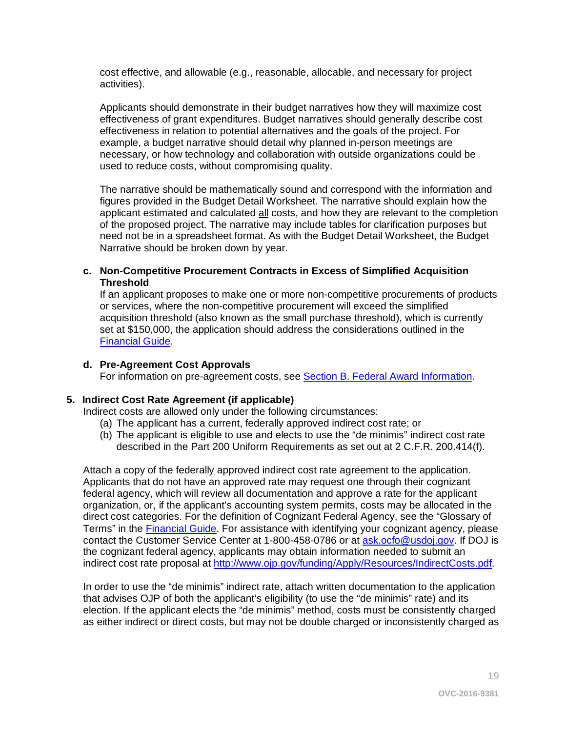cost effective, and allowable (e.g., reasonable, allocable, and necessary for project activities).

Applicants should demonstrate in their budget narratives how they will maximize cost effectiveness of grant expenditures. Budget narratives should generally describe cost effectiveness in relation to potential alternatives and the goals of the project. For example, a budget narrative should detail why planned in-person meetings are necessary, or how technology and collaboration with outside organizations could be used to reduce costs, without compromising quality.

The narrative should be mathematically sound and correspond with the information and figures provided in the Budget Detail Worksheet. The narrative should explain how the applicant estimated and calculated all costs, and how they are relevant to the completion of the proposed project. The narrative may include tables for clarification purposes but need not be in a spreadsheet format. As with the Budget Detail Worksheet, the Budget Narrative should be broken down by year.

#### **c. Non-Competitive Procurement Contracts in Excess of Simplified Acquisition Threshold**

If an applicant proposes to make one or more non-competitive procurements of products or services, where the non-competitive procurement will exceed the simplified acquisition threshold (also known as the small purchase threshold), which is currently set at \$150,000, the application should address the considerations outlined in the [Financial Guide.](http://ojp.gov/financialguide/DOJ/index.htm)

#### **d. Pre-Agreement Cost Approvals**

For information on pre-agreement costs, see [Section B. Federal Award Information.](#page-9-0)

#### **5. Indirect Cost Rate Agreement (if applicable)**

Indirect costs are allowed only under the following circumstances:

- (a) The applicant has a current, federally approved indirect cost rate; or
- (b) The applicant is eligible to use and elects to use the "de minimis" indirect cost rate described in the Part 200 Uniform Requirements as set out at 2 C.F.R. 200.414(f).

Attach a copy of the federally approved indirect cost rate agreement to the application. Applicants that do not have an approved rate may request one through their cognizant federal agency, which will review all documentation and approve a rate for the applicant organization, or, if the applicant's accounting system permits, costs may be allocated in the direct cost categories. For the definition of Cognizant Federal Agency, see the "Glossary of Terms" in the [Financial Guide.](http://ojp.gov/financialguide/DOJ/index.htm) For assistance with identifying your cognizant agency, please contact the Customer Service Center at 1-800-458-0786 or at [ask.ocfo@usdoj.gov.](mailto:ask.ocfo@usdoj.gov) If DOJ is the cognizant federal agency, applicants may obtain information needed to submit an indirect cost rate proposal at [http://www.ojp.gov/funding/Apply/Resources/IndirectCosts.pdf.](http://www.ojp.gov/funding/Apply/Resources/IndirectCosts.pdf)

In order to use the "de minimis" indirect rate, attach written documentation to the application that advises OJP of both the applicant's eligibility (to use the "de minimis" rate) and its election. If the applicant elects the "de minimis" method, costs must be consistently charged as either indirect or direct costs, but may not be double charged or inconsistently charged as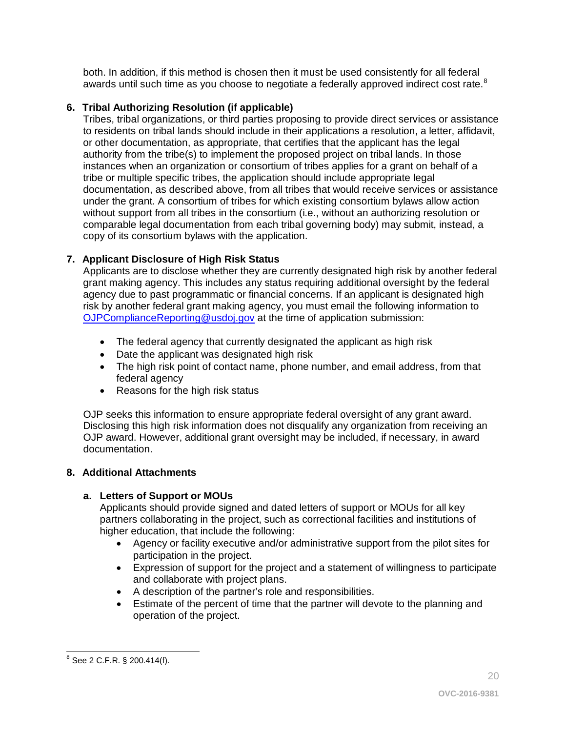both. In addition, if this method is chosen then it must be used consistently for all federal awards until such time as you choose to negotiate a federally approved indirect cost rate.<sup>[8](#page-19-0)</sup>

## **6. Tribal Authorizing Resolution (if applicable)**

Tribes, tribal organizations, or third parties proposing to provide direct services or assistance to residents on tribal lands should include in their applications a resolution, a letter, affidavit, or other documentation, as appropriate, that certifies that the applicant has the legal authority from the tribe(s) to implement the proposed project on tribal lands. In those instances when an organization or consortium of tribes applies for a grant on behalf of a tribe or multiple specific tribes, the application should include appropriate legal documentation, as described above, from all tribes that would receive services or assistance under the grant. A consortium of tribes for which existing consortium bylaws allow action without support from all tribes in the consortium (i.e., without an authorizing resolution or comparable legal documentation from each tribal governing body) may submit, instead, a copy of its consortium bylaws with the application.

## **7. Applicant Disclosure of High Risk Status**

Applicants are to disclose whether they are currently designated high risk by another federal grant making agency. This includes any status requiring additional oversight by the federal agency due to past programmatic or financial concerns. If an applicant is designated high risk by another federal grant making agency, you must email the following information to [OJPComplianceReporting@usdoj.gov](mailto:OJPComplianceReporting@usdoj.gov) at the time of application submission:

- The federal agency that currently designated the applicant as high risk
- Date the applicant was designated high risk
- The high risk point of contact name, phone number, and email address, from that federal agency
- Reasons for the high risk status

OJP seeks this information to ensure appropriate federal oversight of any grant award. Disclosing this high risk information does not disqualify any organization from receiving an OJP award. However, additional grant oversight may be included, if necessary, in award documentation.

## **8. Additional Attachments**

## **a. Letters of Support or MOUs**

Applicants should provide signed and dated letters of support or MOUs for all key partners collaborating in the project, such as correctional facilities and institutions of higher education, that include the following:

- Agency or facility executive and/or administrative support from the pilot sites for participation in the project.
- Expression of support for the project and a statement of willingness to participate and collaborate with project plans.
- A description of the partner's role and responsibilities.
- Estimate of the percent of time that the partner will devote to the planning and operation of the project.

<span id="page-19-0"></span> $\overline{a}$  $^8$  See 2 C.F.R. § 200.414(f).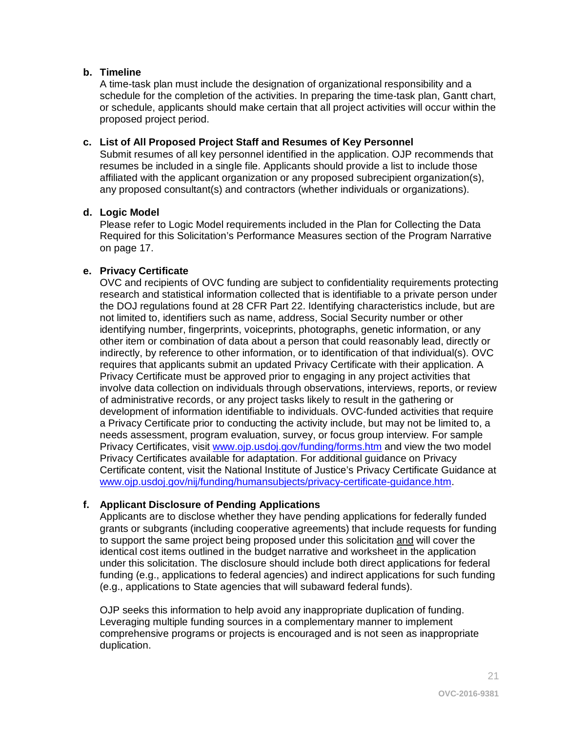#### **b. Timeline**

A time-task plan must include the designation of organizational responsibility and a schedule for the completion of the activities. In preparing the time-task plan, Gantt chart, or schedule, applicants should make certain that all project activities will occur within the proposed project period.

### **c. List of All Proposed Project Staff and Resumes of Key Personnel**

Submit resumes of all key personnel identified in the application. OJP recommends that resumes be included in a single file. Applicants should provide a list to include those affiliated with the applicant organization or any proposed subrecipient organization(s), any proposed consultant(s) and contractors (whether individuals or organizations).

### **d. Logic Model**

Please refer to Logic Model requirements included in the Plan for Collecting the Data Required for this Solicitation's Performance Measures section of the Program Narrative on page 17.

## **e. Privacy Certificate**

OVC and recipients of OVC funding are subject to confidentiality requirements protecting research and statistical information collected that is identifiable to a private person under the DOJ regulations found at 28 CFR Part 22. Identifying characteristics include, but are not limited to, identifiers such as name, address, Social Security number or other identifying number, fingerprints, voiceprints, photographs, genetic information, or any other item or combination of data about a person that could reasonably lead, directly or indirectly, by reference to other information, or to identification of that individual(s). OVC requires that applicants submit an updated Privacy Certificate with their application. A Privacy Certificate must be approved prior to engaging in any project activities that involve data collection on individuals through observations, interviews, reports, or review of administrative records, or any project tasks likely to result in the gathering or development of information identifiable to individuals. OVC-funded activities that require a Privacy Certificate prior to conducting the activity include, but may not be limited to, a needs assessment, program evaluation, survey, or focus group interview. For sample Privacy Certificates, visit [www.ojp.usdoj.gov/funding/forms.htm](http://www.ojp.usdoj.gov/funding/forms.htm) and view the two model Privacy Certificates available for adaptation. For additional guidance on Privacy Certificate content, visit the National Institute of Justice's Privacy Certificate Guidance at [www.ojp.usdoj.gov/nij/funding/humansubjects/privacy-certificate-guidance.htm.](http://www.ojp.usdoj.gov/nij/funding/humansubjects/privacy-certificate-guidance.htm)

#### **f. Applicant Disclosure of Pending Applications**

Applicants are to disclose whether they have pending applications for federally funded grants or subgrants (including cooperative agreements) that include requests for funding to support the same project being proposed under this solicitation and will cover the identical cost items outlined in the budget narrative and worksheet in the application under this solicitation. The disclosure should include both direct applications for federal funding (e.g., applications to federal agencies) and indirect applications for such funding (e.g., applications to State agencies that will subaward federal funds).

OJP seeks this information to help avoid any inappropriate duplication of funding. Leveraging multiple funding sources in a complementary manner to implement comprehensive programs or projects is encouraged and is not seen as inappropriate duplication.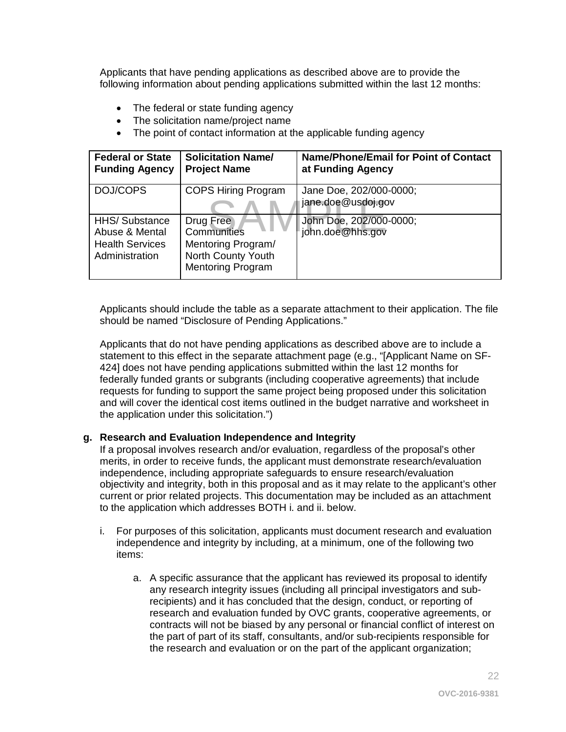Applicants that have pending applications as described above are to provide the following information about pending applications submitted within the last 12 months:

- The federal or state funding agency
- The solicitation name/project name
- The point of contact information at the applicable funding agency

| <b>Federal or State</b><br><b>Funding Agency</b>                                   | <b>Solicitation Name/</b><br><b>Project Name</b>                                                 | <b>Name/Phone/Email for Point of Contact</b><br>at Funding Agency |
|------------------------------------------------------------------------------------|--------------------------------------------------------------------------------------------------|-------------------------------------------------------------------|
| DOJ/COPS                                                                           | <b>COPS Hiring Program</b>                                                                       | Jane Doe, 202/000-0000;<br>jane.doe@usdoj.gov                     |
| <b>HHS/Substance</b><br>Abuse & Mental<br><b>Health Services</b><br>Administration | Drug Free<br>Communities<br>Mentoring Program/<br>North County Youth<br><b>Mentoring Program</b> | John Doe, 202/000-0000;<br>john.doe@hhs.gov                       |

Applicants should include the table as a separate attachment to their application. The file should be named "Disclosure of Pending Applications."

Applicants that do not have pending applications as described above are to include a statement to this effect in the separate attachment page (e.g., "[Applicant Name on SF-424] does not have pending applications submitted within the last 12 months for federally funded grants or subgrants (including cooperative agreements) that include requests for funding to support the same project being proposed under this solicitation and will cover the identical cost items outlined in the budget narrative and worksheet in the application under this solicitation.")

#### **g. Research and Evaluation Independence and Integrity**

If a proposal involves research and/or evaluation, regardless of the proposal's other merits, in order to receive funds, the applicant must demonstrate research/evaluation independence, including appropriate safeguards to ensure research/evaluation objectivity and integrity, both in this proposal and as it may relate to the applicant's other current or prior related projects. This documentation may be included as an attachment to the application which addresses BOTH i. and ii. below.

- i. For purposes of this solicitation, applicants must document research and evaluation independence and integrity by including, at a minimum, one of the following two items:
	- a. A specific assurance that the applicant has reviewed its proposal to identify any research integrity issues (including all principal investigators and subrecipients) and it has concluded that the design, conduct, or reporting of research and evaluation funded by OVC grants, cooperative agreements, or contracts will not be biased by any personal or financial conflict of interest on the part of part of its staff, consultants, and/or sub-recipients responsible for the research and evaluation or on the part of the applicant organization;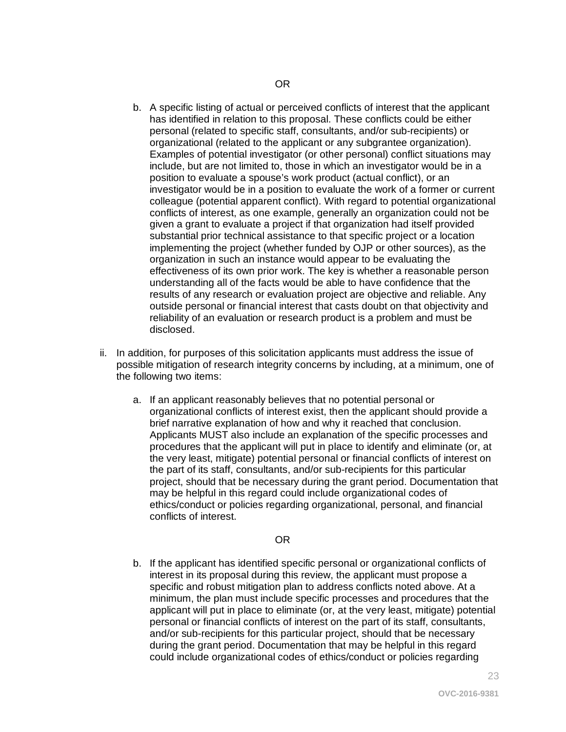- b. A specific listing of actual or perceived conflicts of interest that the applicant has identified in relation to this proposal. These conflicts could be either personal (related to specific staff, consultants, and/or sub-recipients) or organizational (related to the applicant or any subgrantee organization). Examples of potential investigator (or other personal) conflict situations may include, but are not limited to, those in which an investigator would be in a position to evaluate a spouse's work product (actual conflict), or an investigator would be in a position to evaluate the work of a former or current colleague (potential apparent conflict). With regard to potential organizational conflicts of interest, as one example, generally an organization could not be given a grant to evaluate a project if that organization had itself provided substantial prior technical assistance to that specific project or a location implementing the project (whether funded by OJP or other sources), as the organization in such an instance would appear to be evaluating the effectiveness of its own prior work. The key is whether a reasonable person understanding all of the facts would be able to have confidence that the results of any research or evaluation project are objective and reliable. Any outside personal or financial interest that casts doubt on that objectivity and reliability of an evaluation or research product is a problem and must be disclosed.
- ii. In addition, for purposes of this solicitation applicants must address the issue of possible mitigation of research integrity concerns by including, at a minimum, one of the following two items:
	- a. If an applicant reasonably believes that no potential personal or organizational conflicts of interest exist, then the applicant should provide a brief narrative explanation of how and why it reached that conclusion. Applicants MUST also include an explanation of the specific processes and procedures that the applicant will put in place to identify and eliminate (or, at the very least, mitigate) potential personal or financial conflicts of interest on the part of its staff, consultants, and/or sub-recipients for this particular project, should that be necessary during the grant period. Documentation that may be helpful in this regard could include organizational codes of ethics/conduct or policies regarding organizational, personal, and financial conflicts of interest.

#### OR

b. If the applicant has identified specific personal or organizational conflicts of interest in its proposal during this review, the applicant must propose a specific and robust mitigation plan to address conflicts noted above. At a minimum, the plan must include specific processes and procedures that the applicant will put in place to eliminate (or, at the very least, mitigate) potential personal or financial conflicts of interest on the part of its staff, consultants, and/or sub-recipients for this particular project, should that be necessary during the grant period. Documentation that may be helpful in this regard could include organizational codes of ethics/conduct or policies regarding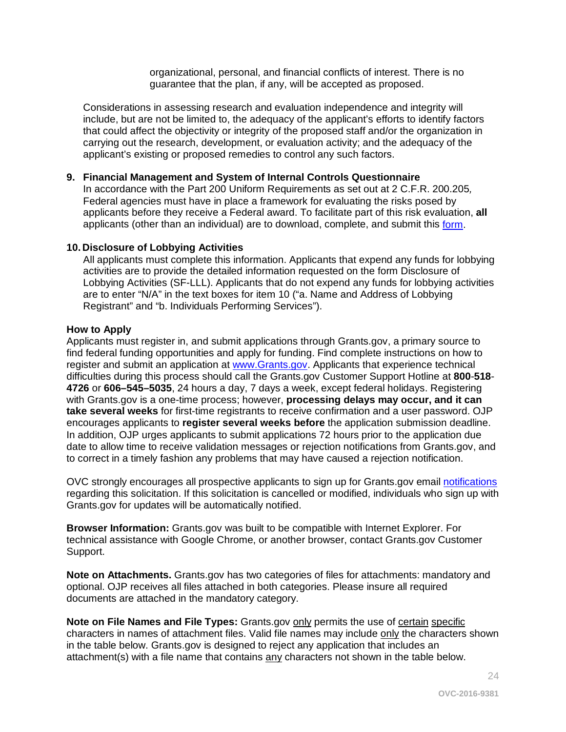organizational, personal, and financial conflicts of interest. There is no guarantee that the plan, if any, will be accepted as proposed.

Considerations in assessing research and evaluation independence and integrity will include, but are not be limited to, the adequacy of the applicant's efforts to identify factors that could affect the objectivity or integrity of the proposed staff and/or the organization in carrying out the research, development, or evaluation activity; and the adequacy of the applicant's existing or proposed remedies to control any such factors.

#### **9. Financial Management and System of Internal Controls Questionnaire**

In accordance with the Part 200 Uniform Requirements as set out at 2 C.F.R. 200.205*,* Federal agencies must have in place a framework for evaluating the risks posed by applicants before they receive a Federal award. To facilitate part of this risk evaluation, **all** applicants (other than an individual) are to download, complete, and submit this [form.](http://ojp.gov/funding/Apply/Resources/FinancialCapability.pdf)

#### **10. Disclosure of Lobbying Activities**

All applicants must complete this information. Applicants that expend any funds for lobbying activities are to provide the detailed information requested on the form Disclosure of Lobbying Activities (SF-LLL). Applicants that do not expend any funds for lobbying activities are to enter "N/A" in the text boxes for item 10 ("a. Name and Address of Lobbying Registrant" and "b. Individuals Performing Services").

#### <span id="page-23-0"></span>**How to Apply**

Applicants must register in, and submit applications through Grants.gov, a primary source to find federal funding opportunities and apply for funding. Find complete instructions on how to register and submit an application at [www.Grants.gov.](http://www.grants.gov/) Applicants that experience technical difficulties during this process should call the Grants.gov Customer Support Hotline at **800**-**518**- **4726** or **606–545–5035**, 24 hours a day, 7 days a week, except federal holidays. Registering with Grants.gov is a one-time process; however, **processing delays may occur, and it can take several weeks** for first-time registrants to receive confirmation and a user password. OJP encourages applicants to **register several weeks before** the application submission deadline. In addition, OJP urges applicants to submit applications 72 hours prior to the application due date to allow time to receive validation messages or rejection notifications from Grants.gov, and to correct in a timely fashion any problems that may have caused a rejection notification.

OVC strongly encourages all prospective applicants to sign up for Grants.gov email [notifications](http://www.grants.gov/web/grants/manage-subscriptions.html) regarding this solicitation. If this solicitation is cancelled or modified, individuals who sign up with Grants.gov for updates will be automatically notified.

**Browser Information:** Grants.gov was built to be compatible with Internet Explorer. For technical assistance with Google Chrome, or another browser, contact Grants.gov Customer Support.

**Note on Attachments.** Grants.gov has two categories of files for attachments: mandatory and optional. OJP receives all files attached in both categories. Please insure all required documents are attached in the mandatory category.

**Note on File Names and File Types:** Grants.gov only permits the use of certain specific characters in names of attachment files. Valid file names may include only the characters shown in the table below. Grants.gov is designed to reject any application that includes an attachment(s) with a file name that contains any characters not shown in the table below.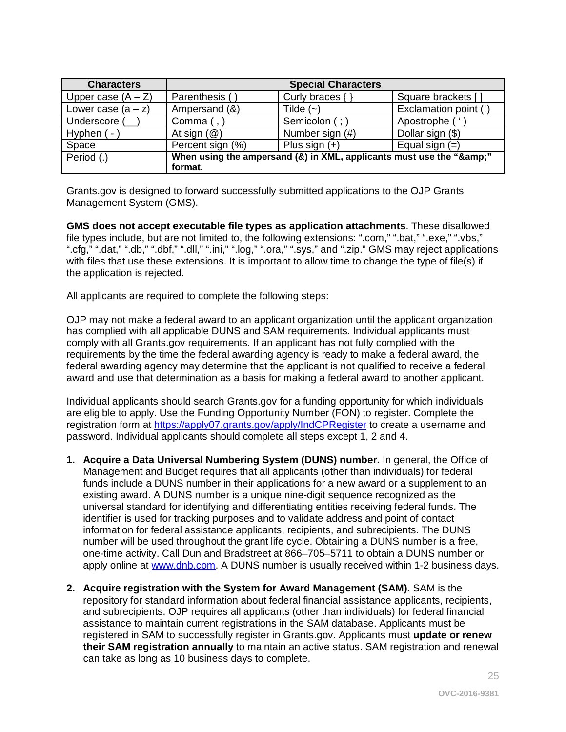| <b>Characters</b>    |                                                                  | <b>Special Characters</b> |                       |
|----------------------|------------------------------------------------------------------|---------------------------|-----------------------|
| Upper case $(A - Z)$ | Parenthesis (                                                    | Curly braces $\{\}$       | Square brackets []    |
| Lower case $(a - z)$ | Ampersand (&)                                                    | Tilde $(-)$               | Exclamation point (!) |
| Underscore (         | Comma $($ , $)$                                                  | Semicolon (; )            | Apostrophe (          |
| Hyphen $(-)$         | At sign $(\mathcal{Q})$                                          | Number sign (#)           | Dollar sign (\$)      |
| Space                | Percent sign (%)                                                 | Plus sign $(+)$           | Equal sign $(=)$      |
| Period (.)           | When using the ampersand (&) in XML, applicants must use the "&" |                           |                       |
|                      | format.                                                          |                           |                       |

Grants.gov is designed to forward successfully submitted applications to the OJP Grants Management System (GMS).

**GMS does not accept executable file types as application attachments**. These disallowed file types include, but are not limited to, the following extensions: ".com," ".bat," ".exe," ".vbs," ".cfg," ".dat," ".db," ".dbf," ".dll," ".ini," ".log," ".ora," ".sys," and ".zip." GMS may reject applications with files that use these extensions. It is important to allow time to change the type of file(s) if the application is rejected.

All applicants are required to complete the following steps:

OJP may not make a federal award to an applicant organization until the applicant organization has complied with all applicable DUNS and SAM requirements. Individual applicants must comply with all Grants.gov requirements. If an applicant has not fully complied with the requirements by the time the federal awarding agency is ready to make a federal award, the federal awarding agency may determine that the applicant is not qualified to receive a federal award and use that determination as a basis for making a federal award to another applicant.

Individual applicants should search Grants.gov for a funding opportunity for which individuals are eligible to apply. Use the Funding Opportunity Number (FON) to register. Complete the registration form at<https://apply07.grants.gov/apply/IndCPRegister> to create a username and password. Individual applicants should complete all steps except 1, 2 and 4.

- **1. Acquire a Data Universal Numbering System (DUNS) number.** In general, the Office of Management and Budget requires that all applicants (other than individuals) for federal funds include a DUNS number in their applications for a new award or a supplement to an existing award. A DUNS number is a unique nine-digit sequence recognized as the universal standard for identifying and differentiating entities receiving federal funds. The identifier is used for tracking purposes and to validate address and point of contact information for federal assistance applicants, recipients, and subrecipients. The DUNS number will be used throughout the grant life cycle. Obtaining a DUNS number is a free, one-time activity. Call Dun and Bradstreet at 866–705–5711 to obtain a DUNS number or apply online at [www.dnb.com.](http://www.dnb.com/) A DUNS number is usually received within 1-2 business days.
- **2. Acquire registration with the System for Award Management (SAM).** SAM is the repository for standard information about federal financial assistance applicants, recipients, and subrecipients. OJP requires all applicants (other than individuals) for federal financial assistance to maintain current registrations in the SAM database. Applicants must be registered in SAM to successfully register in Grants.gov. Applicants must **update or renew their SAM registration annually** to maintain an active status. SAM registration and renewal can take as long as 10 business days to complete.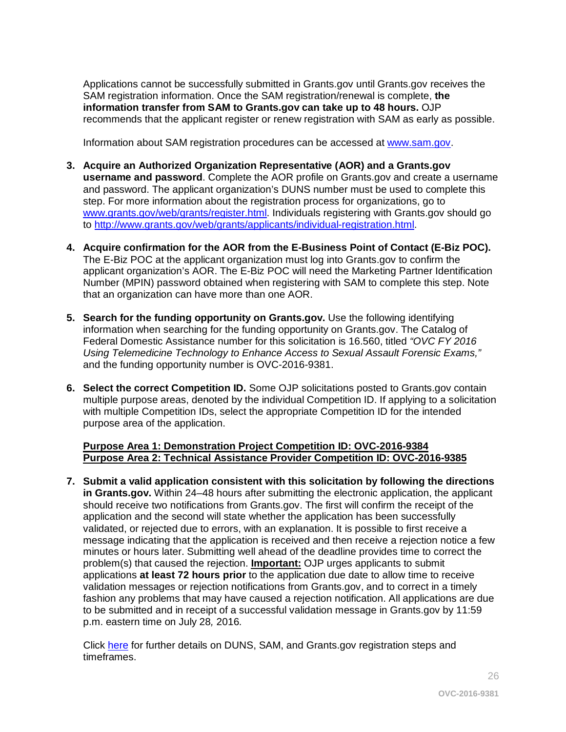Applications cannot be successfully submitted in Grants.gov until Grants.gov receives the SAM registration information. Once the SAM registration/renewal is complete, **the information transfer from SAM to Grants.gov can take up to 48 hours.** OJP recommends that the applicant register or renew registration with SAM as early as possible.

Information about SAM registration procedures can be accessed at [www.sam.gov.](https://www.sam.gov/portal/public/SAM/?portal:componentId=1f834b82-3fed-4eb3-a1f8-ea1f226a7955&portal:type=action&interactionstate=JBPNS_rO0ABXc0ABBfanNmQnJpZGdlVmlld0lkAAAAAQATL2pzZi9uYXZpZ2F0aW9uLmpzcAAHX19FT0ZfXw**)

- **3. Acquire an Authorized Organization Representative (AOR) and a Grants.gov username and password**. Complete the AOR profile on Grants.gov and create a username and password. The applicant organization's DUNS number must be used to complete this step. For more information about the registration process for organizations, go to [www.grants.gov/web/grants/register.html.](http://www.grants.gov/web/grants/register.html) Individuals registering with Grants.gov should go to [http://www.grants.gov/web/grants/applicants/individual-registration.html.](http://www.grants.gov/web/grants/applicants/individual-registration.html)
- **4. Acquire confirmation for the AOR from the E-Business Point of Contact (E-Biz POC).**  The E-Biz POC at the applicant organization must log into Grants.gov to confirm the applicant organization's AOR. The E-Biz POC will need the Marketing Partner Identification Number (MPIN) password obtained when registering with SAM to complete this step. Note that an organization can have more than one AOR.
- **5. Search for the funding opportunity on Grants.gov.** Use the following identifying information when searching for the funding opportunity on Grants.gov. The Catalog of Federal Domestic Assistance number for this solicitation is 16.560, titled *"OVC FY 2016 Using Telemedicine Technology to Enhance Access to Sexual Assault Forensic Exams,"* and the funding opportunity number is OVC-2016-9381.
- **6. Select the correct Competition ID.** Some OJP solicitations posted to Grants.gov contain multiple purpose areas, denoted by the individual Competition ID. If applying to a solicitation with multiple Competition IDs, select the appropriate Competition ID for the intended purpose area of the application.

#### **Purpose Area 1: Demonstration Project Competition ID: OVC-2016-9384 Purpose Area 2: Technical Assistance Provider Competition ID: OVC-2016-9385**

**7. Submit a valid application consistent with this solicitation by following the directions in Grants.gov.** Within 24–48 hours after submitting the electronic application, the applicant should receive two notifications from Grants.gov. The first will confirm the receipt of the application and the second will state whether the application has been successfully validated, or rejected due to errors, with an explanation. It is possible to first receive a message indicating that the application is received and then receive a rejection notice a few minutes or hours later. Submitting well ahead of the deadline provides time to correct the problem(s) that caused the rejection. **Important:** OJP urges applicants to submit applications **at least 72 hours prior** to the application due date to allow time to receive validation messages or rejection notifications from Grants.gov, and to correct in a timely fashion any problems that may have caused a rejection notification. All applications are due to be submitted and in receipt of a successful validation message in Grants.gov by 11:59 p.m. eastern time on July 28*,* 2016*.*

Click [here](http://www.grants.gov/web/grants/applicants/organization-registration.html) for further details on DUNS, SAM, and Grants.gov registration steps and timeframes.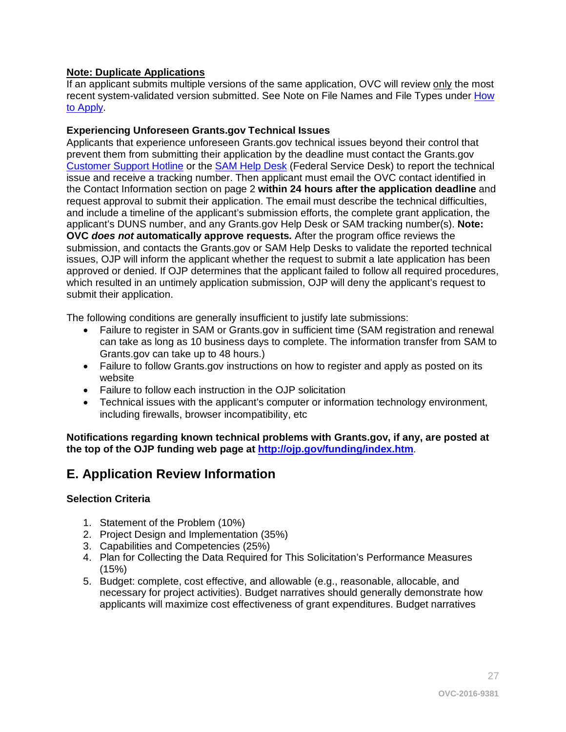### **Note: Duplicate Applications**

If an applicant submits multiple versions of the same application, OVC will review only the most recent system-validated version submitted. See Note on File Names and File Types under [How](#page-23-0)  [to Apply.](#page-23-0)

#### **Experiencing Unforeseen Grants.gov Technical Issues**

Applicants that experience unforeseen Grants.gov technical issues beyond their control that prevent them from submitting their application by the deadline must contact the Grants.gov [Customer Support Hotline](http://www.grants.gov/web/grants/about/contact-us.html) or the [SAM Help Desk](https://www.fsd.gov/fsd-gov/home.do) (Federal Service Desk) to report the technical issue and receive a tracking number. Then applicant must email the OVC contact identified in the Contact Information section on page 2 **within 24 hours after the application deadline** and request approval to submit their application. The email must describe the technical difficulties, and include a timeline of the applicant's submission efforts, the complete grant application, the applicant's DUNS number, and any Grants.gov Help Desk or SAM tracking number(s). **Note: OVC** *does not* **automatically approve requests***.* After the program office reviews the submission, and contacts the Grants.gov or SAM Help Desks to validate the reported technical issues, OJP will inform the applicant whether the request to submit a late application has been approved or denied. If OJP determines that the applicant failed to follow all required procedures, which resulted in an untimely application submission, OJP will deny the applicant's request to submit their application.

The following conditions are generally insufficient to justify late submissions:

- Failure to register in SAM or Grants.gov in sufficient time (SAM registration and renewal can take as long as 10 business days to complete. The information transfer from SAM to Grants.gov can take up to 48 hours.)
- Failure to follow Grants.gov instructions on how to register and apply as posted on its website
- Failure to follow each instruction in the OJP solicitation
- Technical issues with the applicant's computer or information technology environment, including firewalls, browser incompatibility, etc

**Notifications regarding known technical problems with Grants.gov, if any, are posted at the top of the OJP funding web page at <http://ojp.gov/funding/index.htm>**.

## <span id="page-26-0"></span>**E. Application Review Information**

#### <span id="page-26-1"></span>**Selection Criteria**

- 1. Statement of the Problem (10%)
- 2. Project Design and Implementation (35%)
- 3. Capabilities and Competencies (25%)
- 4. Plan for Collecting the Data Required for This Solicitation's Performance Measures (15%)
- 5. Budget: complete, cost effective, and allowable (e.g., reasonable, allocable, and necessary for project activities). Budget narratives should generally demonstrate how applicants will maximize cost effectiveness of grant expenditures. Budget narratives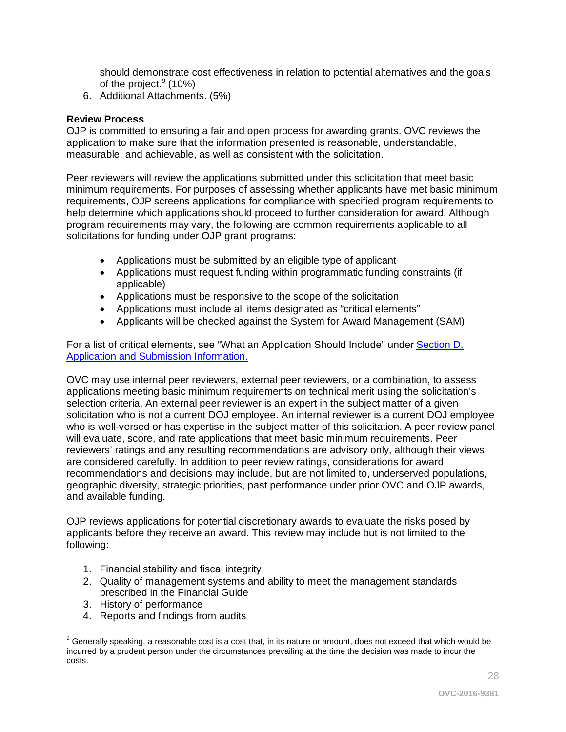should demonstrate cost effectiveness in relation to potential alternatives and the goals of the project.<sup>[9](#page-27-1)</sup> (10%)

6. Additional Attachments. (5%)

#### <span id="page-27-0"></span>**Review Process**

OJP is committed to ensuring a fair and open process for awarding grants. OVC reviews the application to make sure that the information presented is reasonable, understandable, measurable, and achievable, as well as consistent with the solicitation.

Peer reviewers will review the applications submitted under this solicitation that meet basic minimum requirements. For purposes of assessing whether applicants have met basic minimum requirements, OJP screens applications for compliance with specified program requirements to help determine which applications should proceed to further consideration for award. Although program requirements may vary, the following are common requirements applicable to all solicitations for funding under OJP grant programs:

- Applications must be submitted by an eligible type of applicant
- Applications must request funding within programmatic funding constraints (if applicable)
- Applications must be responsive to the scope of the solicitation
- Applications must include all items designated as "critical elements"
- Applicants will be checked against the System for Award Management (SAM)

For a list of critical elements, see "What an Application Should Include" under [Section D.](#page-12-0)  [Application and Submission Information.](#page-12-0)

OVC may use internal peer reviewers, external peer reviewers, or a combination, to assess applications meeting basic minimum requirements on technical merit using the solicitation's selection criteria. An external peer reviewer is an expert in the subject matter of a given solicitation who is not a current DOJ employee. An internal reviewer is a current DOJ employee who is well-versed or has expertise in the subject matter of this solicitation. A peer review panel will evaluate, score, and rate applications that meet basic minimum requirements. Peer reviewers' ratings and any resulting recommendations are advisory only, although their views are considered carefully. In addition to peer review ratings, considerations for award recommendations and decisions may include, but are not limited to, underserved populations, geographic diversity, strategic priorities, past performance under prior OVC and OJP awards, and available funding.

OJP reviews applications for potential discretionary awards to evaluate the risks posed by applicants before they receive an award. This review may include but is not limited to the following:

- 1. Financial stability and fiscal integrity
- 2. Quality of management systems and ability to meet the management standards prescribed in the Financial Guide
- 3. History of performance
- 4. Reports and findings from audits

<span id="page-27-1"></span> $9$  Generally speaking, a reasonable cost is a cost that, in its nature or amount, does not exceed that which would be incurred by a prudent person under the circumstances prevailing at the time the decision was made to incur the costs.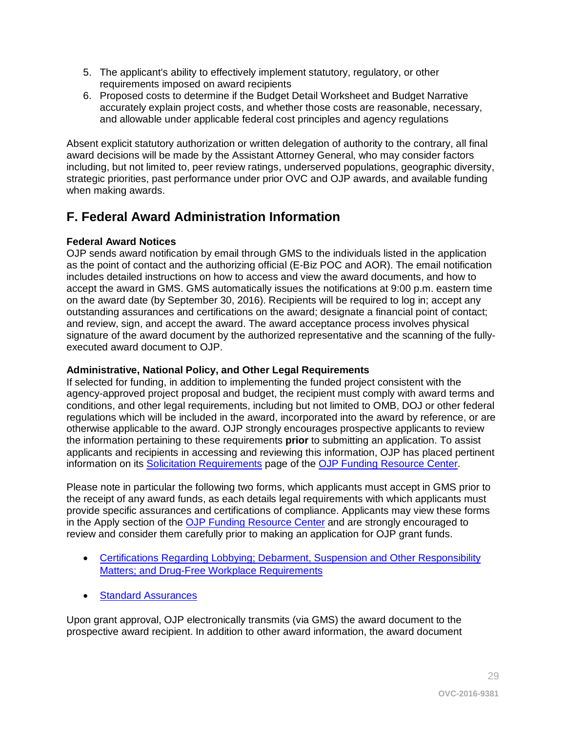- 5. The applicant's ability to effectively implement statutory, regulatory, or other requirements imposed on award recipients
- 6. Proposed costs to determine if the Budget Detail Worksheet and Budget Narrative accurately explain project costs, and whether those costs are reasonable, necessary, and allowable under applicable federal cost principles and agency regulations

Absent explicit statutory authorization or written delegation of authority to the contrary, all final award decisions will be made by the Assistant Attorney General, who may consider factors including, but not limited to, peer review ratings, underserved populations, geographic diversity, strategic priorities, past performance under prior OVC and OJP awards, and available funding when making awards.

# <span id="page-28-0"></span>**F. Federal Award Administration Information**

## <span id="page-28-1"></span>**Federal Award Notices**

OJP sends award notification by email through GMS to the individuals listed in the application as the point of contact and the authorizing official (E-Biz POC and AOR). The email notification includes detailed instructions on how to access and view the award documents, and how to accept the award in GMS. GMS automatically issues the notifications at 9:00 p.m. eastern time on the award date (by September 30, 2016). Recipients will be required to log in; accept any outstanding assurances and certifications on the award; designate a financial point of contact; and review, sign, and accept the award. The award acceptance process involves physical signature of the award document by the authorized representative and the scanning of the fullyexecuted award document to OJP.

## <span id="page-28-2"></span>**Administrative, National Policy, and Other Legal Requirements**

If selected for funding, in addition to implementing the funded project consistent with the agency-approved project proposal and budget, the recipient must comply with award terms and conditions, and other legal requirements, including but not limited to OMB, DOJ or other federal regulations which will be included in the award, incorporated into the award by reference, or are otherwise applicable to the award. OJP strongly encourages prospective applicants to review the information pertaining to these requirements **prior** to submitting an application. To assist applicants and recipients in accessing and reviewing this information, OJP has placed pertinent information on its [Solicitation Requirements](http://ojp.gov/funding/Explore/SolicitationRequirements/index.htm) page of the [OJP Funding Resource Center.](http://ojp.gov/funding/index.htm)

Please note in particular the following two forms, which applicants must accept in GMS prior to the receipt of any award funds, as each details legal requirements with which applicants must provide specific assurances and certifications of compliance. Applicants may view these forms in the Apply section of the [OJP Funding Resource Center](http://ojp.gov/funding/index.htm) and are strongly encouraged to review and consider them carefully prior to making an application for OJP grant funds.

- [Certifications Regarding Lobbying; Debarment, Suspension and Other Responsibility](http://ojp.gov/funding/Apply/Resources/Certifications.pdf)  [Matters; and Drug-Free Workplace Requirements](http://ojp.gov/funding/Apply/Resources/Certifications.pdf)
- [Standard Assurances](http://ojp.gov/funding/Apply/Resources/StandardAssurances.pdf)

Upon grant approval, OJP electronically transmits (via GMS) the award document to the prospective award recipient. In addition to other award information, the award document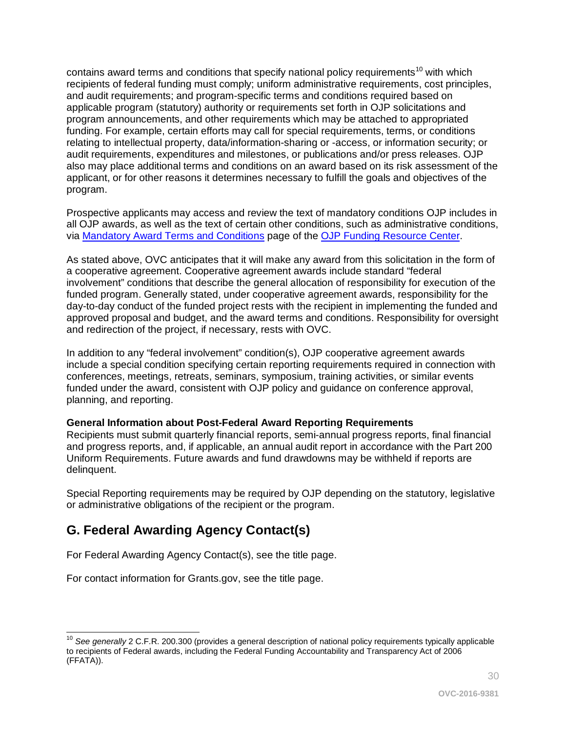contains award terms and conditions that specify national policy requirements<sup>[10](#page-29-2)</sup> with which recipients of federal funding must comply; uniform administrative requirements, cost principles, and audit requirements; and program-specific terms and conditions required based on applicable program (statutory) authority or requirements set forth in OJP solicitations and program announcements, and other requirements which may be attached to appropriated funding. For example, certain efforts may call for special requirements, terms, or conditions relating to intellectual property, data/information-sharing or -access, or information security; or audit requirements, expenditures and milestones, or publications and/or press releases. OJP also may place additional terms and conditions on an award based on its risk assessment of the applicant, or for other reasons it determines necessary to fulfill the goals and objectives of the program.

Prospective applicants may access and review the text of mandatory conditions OJP includes in all OJP awards, as well as the text of certain other conditions, such as administrative conditions, via [Mandatory Award Terms and Conditions](http://ojp.gov/funding/Explore/SolicitationRequirements/MandatoryTermsConditions.htm) page of the OJP Funding [Resource Center.](http://ojp.gov/funding/index.htm)

As stated above, OVC anticipates that it will make any award from this solicitation in the form of a cooperative agreement. Cooperative agreement awards include standard "federal involvement" conditions that describe the general allocation of responsibility for execution of the funded program. Generally stated, under cooperative agreement awards, responsibility for the day-to-day conduct of the funded project rests with the recipient in implementing the funded and approved proposal and budget, and the award terms and conditions. Responsibility for oversight and redirection of the project, if necessary, rests with OVC.

In addition to any "federal involvement" condition(s), OJP cooperative agreement awards include a special condition specifying certain reporting requirements required in connection with conferences, meetings, retreats, seminars, symposium, training activities, or similar events funded under the award, consistent with OJP policy and guidance on conference approval, planning, and reporting.

#### <span id="page-29-0"></span>**General Information about Post-Federal Award Reporting Requirements**

Recipients must submit quarterly financial reports, semi-annual progress reports, final financial and progress reports, and, if applicable, an annual audit report in accordance with the Part 200 Uniform Requirements. Future awards and fund drawdowns may be withheld if reports are delinquent.

Special Reporting requirements may be required by OJP depending on the statutory, legislative or administrative obligations of the recipient or the program.

# <span id="page-29-1"></span>**G. Federal Awarding Agency Contact(s)**

For Federal Awarding Agency Contact(s), see the title page.

For contact information for Grants.gov, see the title page.

<span id="page-29-2"></span> $\overline{a}$ <sup>10</sup> See generally 2 C.F.R. 200.300 (provides a general description of national policy requirements typically applicable to recipients of Federal awards, including the Federal Funding Accountability and Transparency Act of 2006 (FFATA)).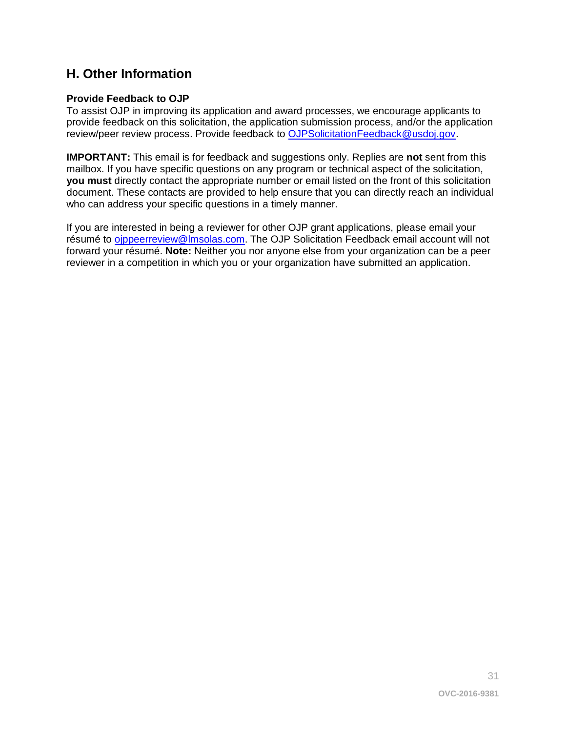# <span id="page-30-0"></span>**H. Other Information**

## <span id="page-30-1"></span>**Provide Feedback to OJP**

To assist OJP in improving its application and award processes, we encourage applicants to provide feedback on this solicitation, the application submission process, and/or the application review/peer review process. Provide feedback to [OJPSolicitationFeedback@usdoj.gov.](mailto:OJPSolicitationFeedback@usdoj.gov)

**IMPORTANT:** This email is for feedback and suggestions only. Replies are **not** sent from this mailbox. If you have specific questions on any program or technical aspect of the solicitation, **you must** directly contact the appropriate number or email listed on the front of this solicitation document. These contacts are provided to help ensure that you can directly reach an individual who can address your specific questions in a timely manner.

If you are interested in being a reviewer for other OJP grant applications, please email your résumé to [ojppeerreview@lmsolas.com.](mailto:ojppeerreview@lmsolas.com) The OJP Solicitation Feedback email account will not forward your résumé. **Note:** Neither you nor anyone else from your organization can be a peer reviewer in a competition in which you or your organization have submitted an application.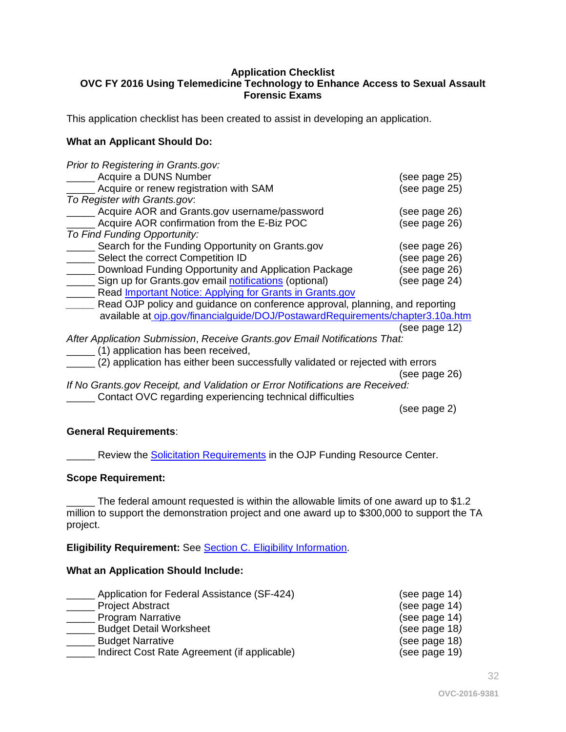#### <span id="page-31-0"></span>**Application Checklist OVC FY 2016 Using Telemedicine Technology to Enhance Access to Sexual Assault Forensic Exams**

This application checklist has been created to assist in developing an application.

#### **What an Applicant Should Do:**

| Prior to Registering in Grants.gov:                                            |               |
|--------------------------------------------------------------------------------|---------------|
| Acquire a DUNS Number                                                          | (see page 25) |
| Acquire or renew registration with SAM                                         | (see page 25) |
| To Register with Grants.gov.                                                   |               |
| Acquire AOR and Grants.gov username/password                                   | (see page 26) |
| Acquire AOR confirmation from the E-Biz POC                                    | (see page 26) |
| To Find Funding Opportunity:                                                   |               |
| Search for the Funding Opportunity on Grants.gov                               | (see page 26) |
| Select the correct Competition ID                                              | (see page 26) |
| Download Funding Opportunity and Application Package                           | (see page 26) |
| Sign up for Grants.gov email notifications (optional)                          | (see page 24) |
| Read <b>Important Notice: Applying for Grants in Grants.gov</b>                |               |
| Read OJP policy and guidance on conference approval, planning, and reporting   |               |
| available at ojp.gov/financialguide/DOJ/PostawardRequirements/chapter3.10a.htm |               |
|                                                                                | (see page 12) |
| After Application Submission, Receive Grants.gov Email Notifications That:     |               |
| (1) application has been received,                                             |               |
| (2) application has either been successfully validated or rejected with errors |               |
|                                                                                | (see page 26) |
| If No Grants.gov Receipt, and Validation or Error Notifications are Received:  |               |
| Contact OVC regarding experiencing technical difficulties                      |               |
|                                                                                | (see page 2)  |

#### **General Requirements**:

**EXECT** Review the **Solicitation [Requirements](http://ojp.gov/funding/Explore/SolicitationRequirements/index.htm)** in the OJP Funding Resource Center.

#### **Scope Requirement:**

\_ The federal amount requested is within the allowable limits of one award up to \$1.2 million to support the demonstration project and one award up to \$300,000 to support the TA project.

#### **Eligibility Requirement:** See [Section C. Eligibility Information.](#page-11-0)

#### **What an Application Should Include:**

| Application for Federal Assistance (SF-424)  | (see page 14) |
|----------------------------------------------|---------------|
| <b>Project Abstract</b>                      | (see page 14) |
| <b>Program Narrative</b>                     | (see page 14) |
| <b>Budget Detail Worksheet</b>               | (see page 18) |
| <b>Budget Narrative</b>                      | (see page 18) |
| Indirect Cost Rate Agreement (if applicable) | (see page 19) |

32